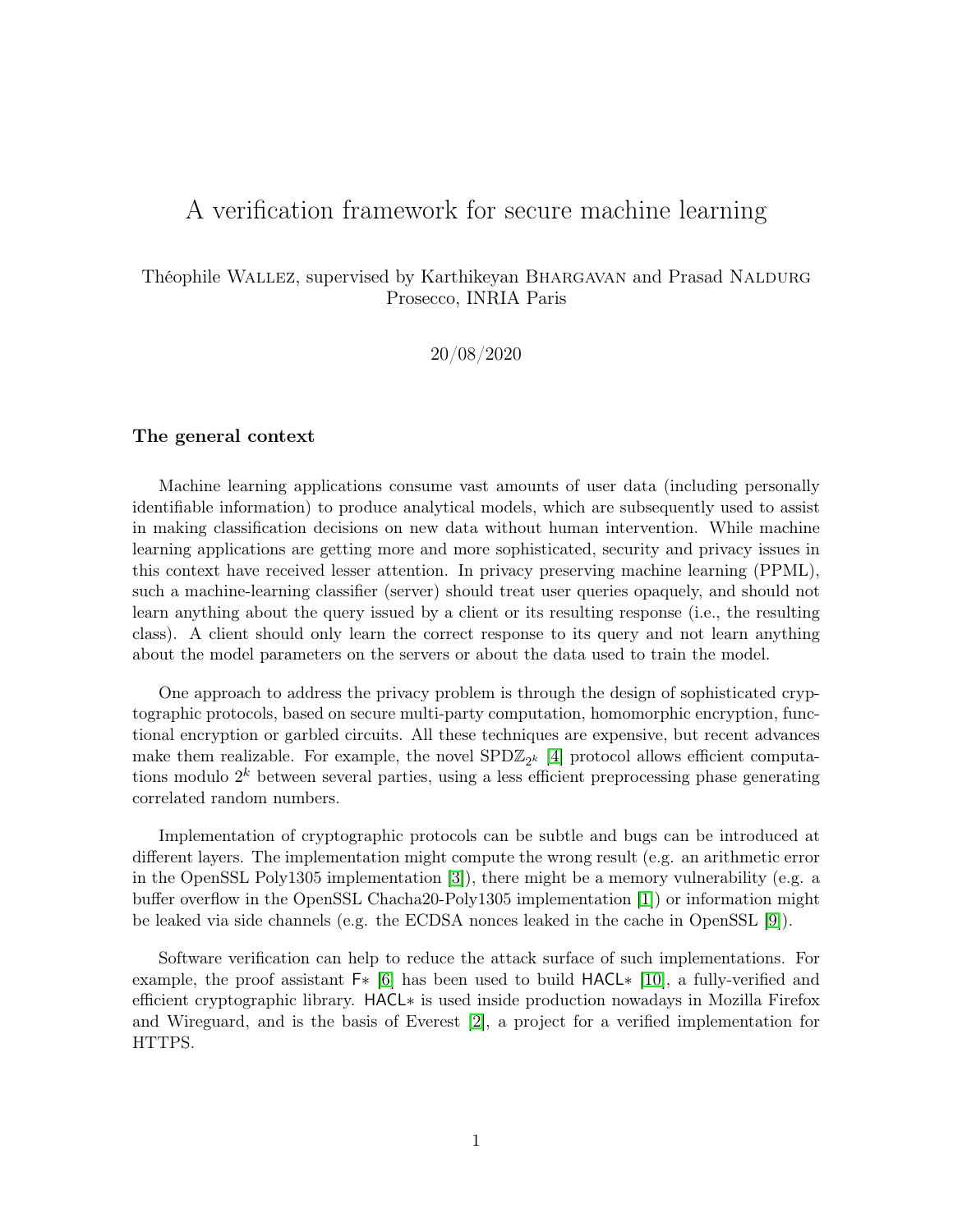# A verification framework for secure machine learning

# Théophile WALLEZ, supervised by Karthikeyan BHARGAVAN and Prasad NALDURG Prosecco, INRIA Paris

20/08/2020

### The general context

Machine learning applications consume vast amounts of user data (including personally identifiable information) to produce analytical models, which are subsequently used to assist in making classification decisions on new data without human intervention. While machine learning applications are getting more and more sophisticated, security and privacy issues in this context have received lesser attention. In privacy preserving machine learning (PPML), such a machine-learning classifier (server) should treat user queries opaquely, and should not learn anything about the query issued by a client or its resulting response (i.e., the resulting class). A client should only learn the correct response to its query and not learn anything about the model parameters on the servers or about the data used to train the model.

One approach to address the privacy problem is through the design of sophisticated cryptographic protocols, based on secure multi-party computation, homomorphic encryption, functional encryption or garbled circuits. All these techniques are expensive, but recent advances make them realizable. For example, the novel  $SPD\mathbb{Z}_{2^k}$  [\[4\]](#page-19-0) protocol allows efficient computations modulo  $2^k$  between several parties, using a less efficient preprocessing phase generating correlated random numbers.

Implementation of cryptographic protocols can be subtle and bugs can be introduced at different layers. The implementation might compute the wrong result (e.g. an arithmetic error in the OpenSSL Poly1305 implementation [\[3\]](#page-19-1)), there might be a memory vulnerability (e.g. a buffer overflow in the OpenSSL Chacha20-Poly1305 implementation [\[1\]](#page-19-2)) or information might be leaked via side channels (e.g. the ECDSA nonces leaked in the cache in OpenSSL [\[9\]](#page-19-3)).

Software verification can help to reduce the attack surface of such implementations. For example, the proof assistant F∗ [\[6\]](#page-19-4) has been used to build HACL∗ [\[10\]](#page-19-5), a fully-verified and efficient cryptographic library. HACL∗ is used inside production nowadays in Mozilla Firefox and Wireguard, and is the basis of Everest [\[2\]](#page-19-6), a project for a verified implementation for HTTPS.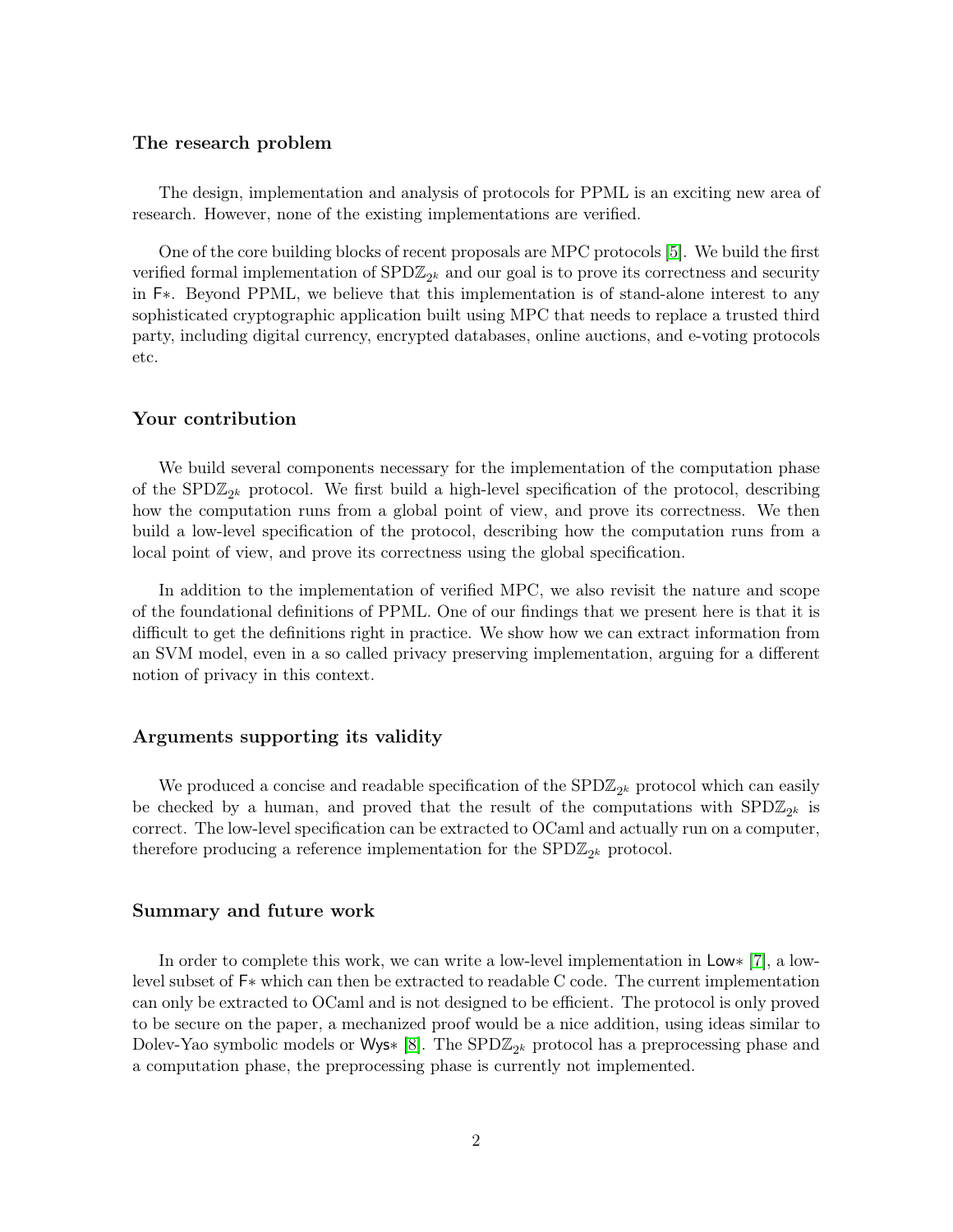#### The research problem

The design, implementation and analysis of protocols for PPML is an exciting new area of research. However, none of the existing implementations are verified.

One of the core building blocks of recent proposals are MPC protocols [\[5\]](#page-19-7). We build the first verified formal implementation of  $\text{SPD}\mathbb{Z}_{2^k}$  and our goal is to prove its correctness and security in F∗. Beyond PPML, we believe that this implementation is of stand-alone interest to any sophisticated cryptographic application built using MPC that needs to replace a trusted third party, including digital currency, encrypted databases, online auctions, and e-voting protocols etc.

### Your contribution

We build several components necessary for the implementation of the computation phase of the SPD $\mathbb{Z}_{2^k}$  protocol. We first build a high-level specification of the protocol, describing how the computation runs from a global point of view, and prove its correctness. We then build a low-level specification of the protocol, describing how the computation runs from a local point of view, and prove its correctness using the global specification.

In addition to the implementation of verified MPC, we also revisit the nature and scope of the foundational definitions of PPML. One of our findings that we present here is that it is difficult to get the definitions right in practice. We show how we can extract information from an SVM model, even in a so called privacy preserving implementation, arguing for a different notion of privacy in this context.

#### Arguments supporting its validity

We produced a concise and readable specification of the  $\text{SPD}\mathbb{Z}_{2^k}$  protocol which can easily be checked by a human, and proved that the result of the computations with  $\text{SPD}\mathbb{Z}_{2^k}$  is correct. The low-level specification can be extracted to OCaml and actually run on a computer, therefore producing a reference implementation for the  ${\rm SPD}{\mathbb{Z}}_{2^k}$  protocol.

#### Summary and future work

In order to complete this work, we can write a low-level implementation in Low∗ [\[7\]](#page-19-8), a lowlevel subset of F∗ which can then be extracted to readable C code. The current implementation can only be extracted to OCaml and is not designed to be efficient. The protocol is only proved to be secure on the paper, a mechanized proof would be a nice addition, using ideas similar to Dolev-Yao symbolic models or Wys\* [\[8\]](#page-19-9). The  $SPD\mathbb{Z}_{2^k}$  protocol has a preprocessing phase and a computation phase, the preprocessing phase is currently not implemented.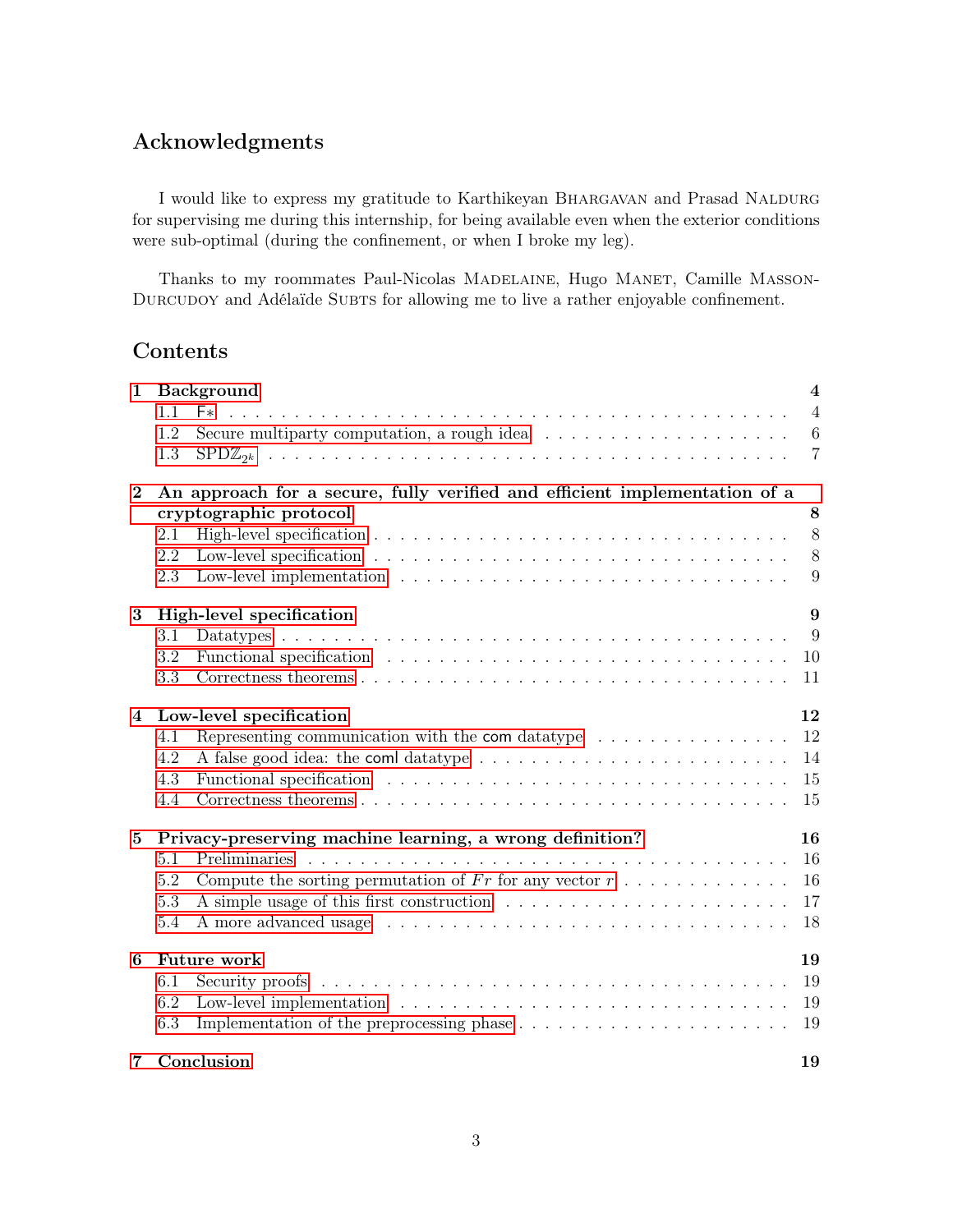# Acknowledgments

I would like to express my gratitude to Karthikeyan BHARGAVAN and Prasad NALDURG for supervising me during this internship, for being available even when the exterior conditions were sub-optimal (during the confinement, or when I broke my leg).

Thanks to my roommates Paul-Nicolas MADELAINE, Hugo MANET, Camille MASSON-DURCUDOY and Adélaïde SUBTS for allowing me to live a rather enjoyable confinement.

# Contents

| $\mathbf{1}$   | <b>Background</b><br>F*<br>1.1<br>Secure multiparty computation, a rough idea $\dots \dots \dots \dots \dots \dots \dots$<br>1.2<br>1.3                                                                                                                                                                                                                                    | $\overline{4}$<br>$\overline{4}$<br>$6\phantom{.}6$<br>$\overline{7}$ |
|----------------|----------------------------------------------------------------------------------------------------------------------------------------------------------------------------------------------------------------------------------------------------------------------------------------------------------------------------------------------------------------------------|-----------------------------------------------------------------------|
| $\bf{2}$       | An approach for a secure, fully verified and efficient implementation of a<br>cryptographic protocol<br>2.1<br>2.2<br>2.3                                                                                                                                                                                                                                                  | 8<br>8<br>8<br>9                                                      |
| 3              | High-level specification<br>3.1<br>Functional specification enterprise in the set of the set of the set of the set of the set of the set of the set of the set of the set of the set of the set of the set of the set of the set of the set of the set of the set<br>3.2<br>3.3                                                                                            | 9<br>9<br>10<br>11                                                    |
| $\overline{4}$ | Low-level specification<br>4.1<br>Representing communication with the com data type $\dots \dots \dots \dots \dots$<br>4.2<br>Functional specification enterprise in the set of the set of the set of the set of the set of the set of the set of the set of the set of the set of the set of the set of the set of the set of the set of the set of the set<br>4.3<br>4.4 | 12<br>12<br>14<br>15<br>15                                            |
| $\bf{5}$       | Privacy-preserving machine learning, a wrong definition?<br>Preliminaries<br>5.1<br>Compute the sorting permutation of Fr for any vector $r : \ldots : \ldots : \ldots$<br>5.2<br>5.3<br>5.4                                                                                                                                                                               | 16<br>16<br>16<br>17<br>18                                            |
| 6              | <b>Future work</b><br>6.1<br>6.2<br>6.3                                                                                                                                                                                                                                                                                                                                    | 19<br>19<br>19<br>19                                                  |
| 7              | Conclusion                                                                                                                                                                                                                                                                                                                                                                 | 19                                                                    |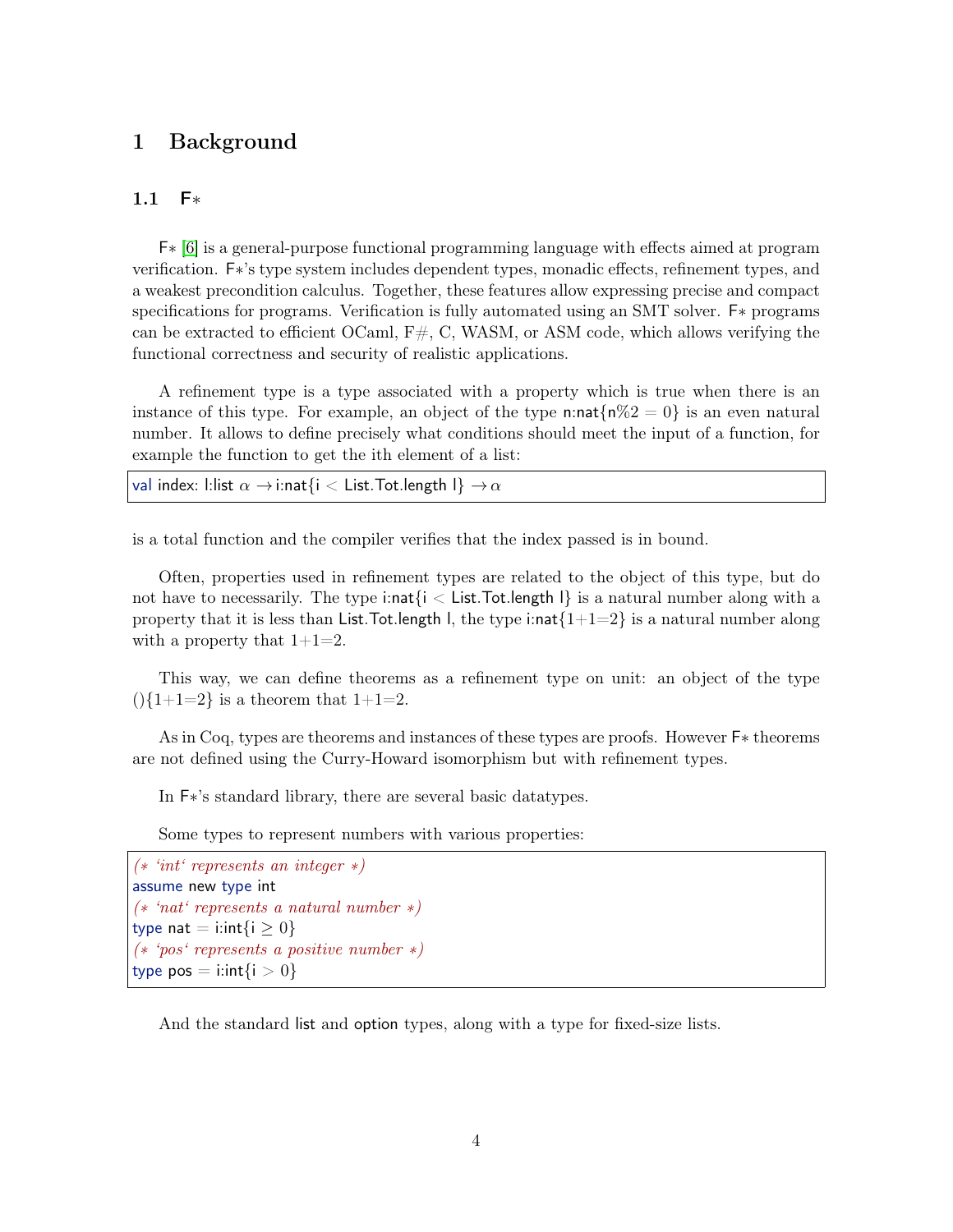# <span id="page-3-0"></span>1 Background

## <span id="page-3-1"></span>1.1 F∗

F∗ [\[6\]](#page-19-4) is a general-purpose functional programming language with effects aimed at program verification. F∗'s type system includes dependent types, monadic effects, refinement types, and a weakest precondition calculus. Together, these features allow expressing precise and compact specifications for programs. Verification is fully automated using an SMT solver. F∗ programs can be extracted to efficient OCaml,  $F#$ , C, WASM, or ASM code, which allows verifying the functional correctness and security of realistic applications.

A refinement type is a type associated with a property which is true when there is an instance of this type. For example, an object of the type n:nat $\{\mathbf{n}\%2=0\}$  is an even natural number. It allows to define precisely what conditions should meet the input of a function, for example the function to get the ith element of a list:

val index: l:list  $\alpha \rightarrow i$ :nat $\{i < L$ ist.Tot.length  $I\} \rightarrow \alpha$ 

is a total function and the compiler verifies that the index passed is in bound.

Often, properties used in refinement types are related to the object of this type, but do not have to necessarily. The type i:nat $\{i < \text{List}.$  Tot. length  $\}$  is a natural number along with a property that it is less than List.Tot.length l, the type i:nat $\{1+1=2\}$  is a natural number along with a property that  $1+1=2$ .

This way, we can define theorems as a refinement type on unit: an object of the type  $(|1+1=2|)$  is a theorem that  $1+1=2$ .

As in Coq, types are theorems and instances of these types are proofs. However F∗ theorems are not defined using the Curry-Howard isomorphism but with refinement types.

In F∗'s standard library, there are several basic datatypes.

Some types to represent numbers with various properties:

(∗ 'int' represents an integer ∗) assume new type int (∗ 'nat' represents a natural number ∗) type nat = i:int $\{i \geq 0\}$ (∗ 'pos' represents a positive number ∗) type pos  $=$  i:int $\{i > 0\}$ 

And the standard list and option types, along with a type for fixed-size lists.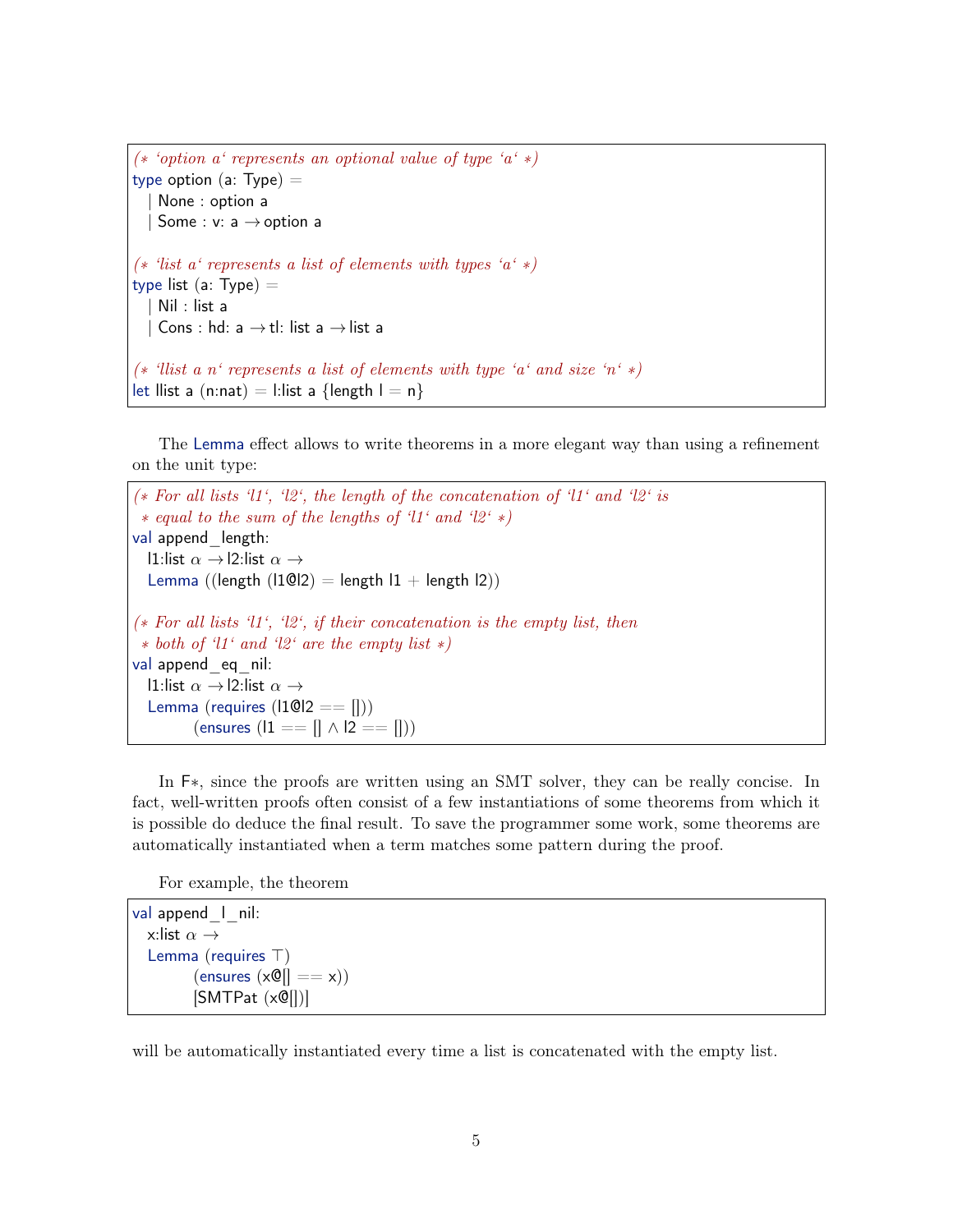```
(* 'option a' represents an optional value of type 'a' *)
type option (a: Type) =None : option a
  | Some : v: a \rightarrow option a
(* 'list a' represents a list of elements with types 'a' *)
type list (a: Type) =
   Nil : list a
   Cons: hd: a \rightarrow tl: list a \rightarrow list a(* 'llist a n' represents a list of elements with type 'a' and size 'n' *)
let llist a (n:nat) = 1:list a {length l = n}
```
The Lemma effect allows to write theorems in a more elegant way than using a refinement on the unit type:

```
(∗ For all lists 'l1', 'l2', the length of the concatenation of 'l1' and 'l2' is
 ∗ equal to the sum of the lengths of 'l1' and 'l2' ∗)
val append length:
  l1:list \alpha \rightarrowl2:list \alpha \rightarrowLemma ((length (11@12) = length 11 + length 12))
(∗ For all lists 'l1', 'l2', if their concatenation is the empty list, then
 ∗ both of 'l1' and 'l2' are the empty list ∗)
val append eq nil:
  l1:list \alpha \rightarrowl2:list \alpha \rightarrowLemma (requires (11@12 == 1)))
          (\text{ensures } (11 == [] \land 12 == []))
```
In F∗, since the proofs are written using an SMT solver, they can be really concise. In fact, well-written proofs often consist of a few instantiations of some theorems from which it is possible do deduce the final result. To save the programmer some work, some theorems are automatically instantiated when a term matches some pattern during the proof.

For example, the theorem

```
val append<sub>_1</sub> nil:
  x:list \alpha \rightarrowLemma (requires \top)
            (\text{ensures } (x \mathbb{Q}) = (x))
            [SMTPat (x@]]]
```
will be automatically instantiated every time a list is concatenated with the empty list.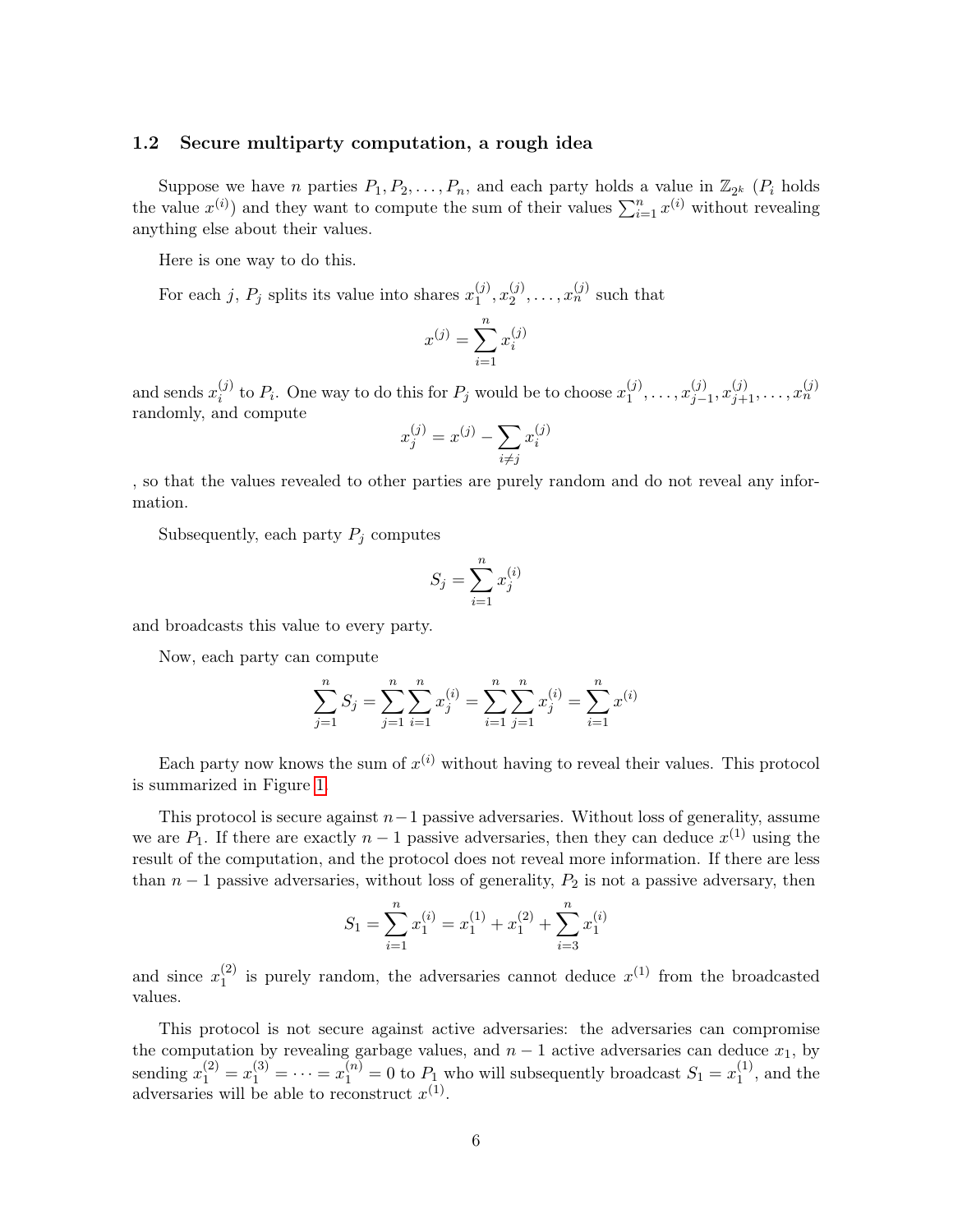#### <span id="page-5-0"></span>1.2 Secure multiparty computation, a rough idea

Suppose we have n parties  $P_1, P_2, \ldots, P_n$ , and each party holds a value in  $\mathbb{Z}_{2^k}$  ( $P_i$  holds the value  $x^{(i)}$  and they want to compute the sum of their values  $\sum_{i=1}^{n} x^{(i)}$  without revealing anything else about their values.

Here is one way to do this.

For each j,  $P_j$  splits its value into shares  $x_1^{(j)}$  $\binom{(j)}{1}, x_2^{(j)}$  $x_2^{(j)}, \ldots, x_n^{(j)}$  such that

$$
x^{(j)} = \sum_{i=1}^{n} x_i^{(j)}
$$

and sends  $x_i^{(j)}$  $i_j^{(j)}$  to  $P_i$ . One way to do this for  $P_j$  would be to choose  $x_1^{(j)}$  $x_1^{(j)}, \ldots, x_{j-1}^{(j)}$  $j_{-1}^{(j)}, x_{j+1}^{(j)}, \ldots, x_n^{(j)}$ randomly, and compute

$$
x_j^{(j)} = x^{(j)} - \sum_{i \neq j} x_i^{(j)}
$$

, so that the values revealed to other parties are purely random and do not reveal any information.

Subsequently, each party  $P_j$  computes

$$
S_j = \sum_{i=1}^n x_j^{(i)}
$$

and broadcasts this value to every party.

Now, each party can compute

$$
\sum_{j=1}^{n} S_j = \sum_{j=1}^{n} \sum_{i=1}^{n} x_j^{(i)} = \sum_{i=1}^{n} \sum_{j=1}^{n} x_j^{(i)} = \sum_{i=1}^{n} x_j^{(i)}
$$

Each party now knows the sum of  $x^{(i)}$  without having to reveal their values. This protocol is summarized in Figure [1.](#page-6-1)

This protocol is secure against  $n-1$  passive adversaries. Without loss of generality, assume we are  $P_1$ . If there are exactly  $n-1$  passive adversaries, then they can deduce  $x^{(1)}$  using the result of the computation, and the protocol does not reveal more information. If there are less than  $n-1$  passive adversaries, without loss of generality,  $P_2$  is not a passive adversary, then

$$
S_1 = \sum_{i=1}^{n} x_1^{(i)} = x_1^{(1)} + x_1^{(2)} + \sum_{i=3}^{n} x_1^{(i)}
$$

and since  $x_1^{(2)}$  $\binom{2}{1}$  is purely random, the adversaries cannot deduce  $x^{(1)}$  from the broadcasted values.

This protocol is not secure against active adversaries: the adversaries can compromise the computation by revealing garbage values, and  $n-1$  active adversaries can deduce  $x_1$ , by sending  $x_1^{(2)} = x_1^{(3)} = \cdots = x_1^{(n)} = 0$  to  $P_1$  who will subsequently broadcast  $S_1 = x_1^{(1)}$  $1^{(1)}$ , and the adversaries will be able to reconstruct  $x^{(1)}$ .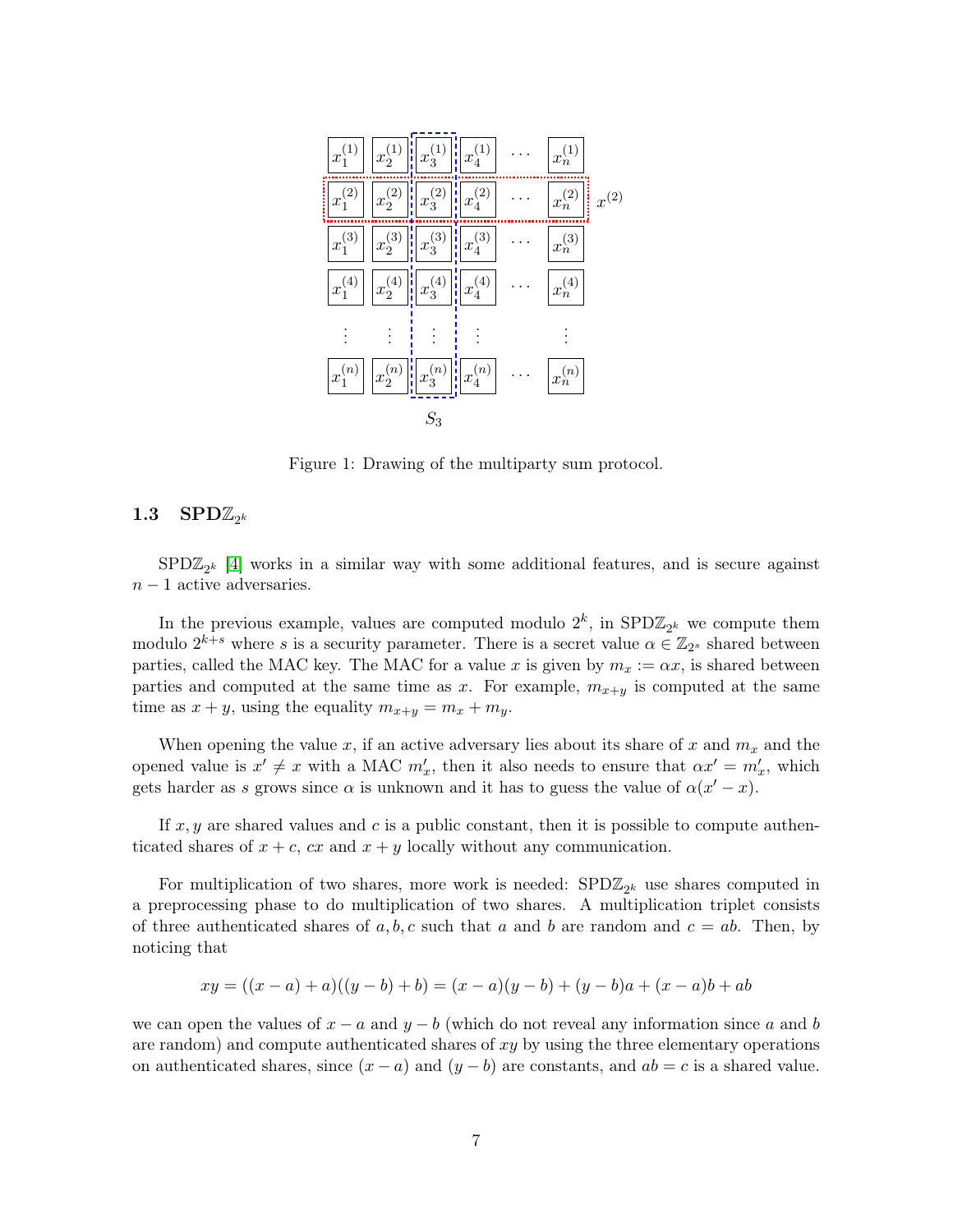| $x_1^{(1)}$      | $x_2^{(1)}$      |                                           | H                                     |                  |           |
|------------------|------------------|-------------------------------------------|---------------------------------------|------------------|-----------|
|                  | H                | $x_3^{(1)}$                               | $x_4^{(1)}$                           | $x_n^{(1)}$      |           |
| İ<br>$x_1^{(2)}$ | $x_2^{(2)}$      | H<br>$x_3^{(2)}$                          | $x_4^{(2)}$<br>Ŵ                      | l<br>$x_n^{(2)}$ | $x^{(2)}$ |
| $x_1^{(3)}$      | $x_2^{(3)}$      | H<br>$x_3^{(3)}$                          | ł<br>$x_4^{(3)}$                      | $x_n^{(3)}$      |           |
| $x_1^{(4)}$      | $x_2^{(4)}$<br>H | $\left \frac{1}{2}\right $<br>$x_3^{(4)}$ | $x_4^{(4)}$                           | $x_n^{(4)}$      |           |
|                  |                  |                                           |                                       |                  |           |
| $x_1^{(n)}$      | $x_2^{(n)}$      | $x_3^{(n)}$<br>H                          | $\left\  \mathbf{x}_4^{(n)} \right\ $ | $x_n^{(n)}$      |           |
|                  |                  | 23                                        |                                       |                  |           |

<span id="page-6-1"></span>Figure 1: Drawing of the multiparty sum protocol.

# <span id="page-6-0"></span> $1.3$   $\mathrm{SPD}\mathbb{Z}_{2^k}$

 $SPD\mathbb{Z}_{2^k}$  [\[4\]](#page-19-0) works in a similar way with some additional features, and is secure against  $n - 1$  active adversaries.

In the previous example, values are computed modulo  $2^k$ , in  $\text{SPD}\mathbb{Z}_{2^k}$  we compute them modulo  $2^{k+s}$  where s is a security parameter. There is a secret value  $\alpha \in \mathbb{Z}_{2^s}$  shared between parties, called the MAC key. The MAC for a value x is given by  $m_x := \alpha x$ , is shared between parties and computed at the same time as x. For example,  $m_{x+y}$  is computed at the same time as  $x + y$ , using the equality  $m_{x+y} = m_x + m_y$ .

When opening the value x, if an active adversary lies about its share of x and  $m_x$  and the opened value is  $x' \neq x$  with a MAC  $m'_x$ , then it also needs to ensure that  $\alpha x' = m'_x$ , which gets harder as s grows since  $\alpha$  is unknown and it has to guess the value of  $\alpha(x'-x)$ .

If  $x, y$  are shared values and c is a public constant, then it is possible to compute authenticated shares of  $x + c$ ,  $cx$  and  $x + y$  locally without any communication.

For multiplication of two shares, more work is needed:  $\text{SPD}\mathbb{Z}_{2^k}$  use shares computed in a preprocessing phase to do multiplication of two shares. A multiplication triplet consists of three authenticated shares of a, b, c such that a and b are random and  $c = ab$ . Then, by noticing that

$$
xy = ((x - a) + a)((y - b) + b) = (x - a)(y - b) + (y - b)a + (x - a)b + ab
$$

we can open the values of  $x - a$  and  $y - b$  (which do not reveal any information since a and b are random) and compute authenticated shares of  $xy$  by using the three elementary operations on authenticated shares, since  $(x - a)$  and  $(y - b)$  are constants, and  $ab = c$  is a shared value.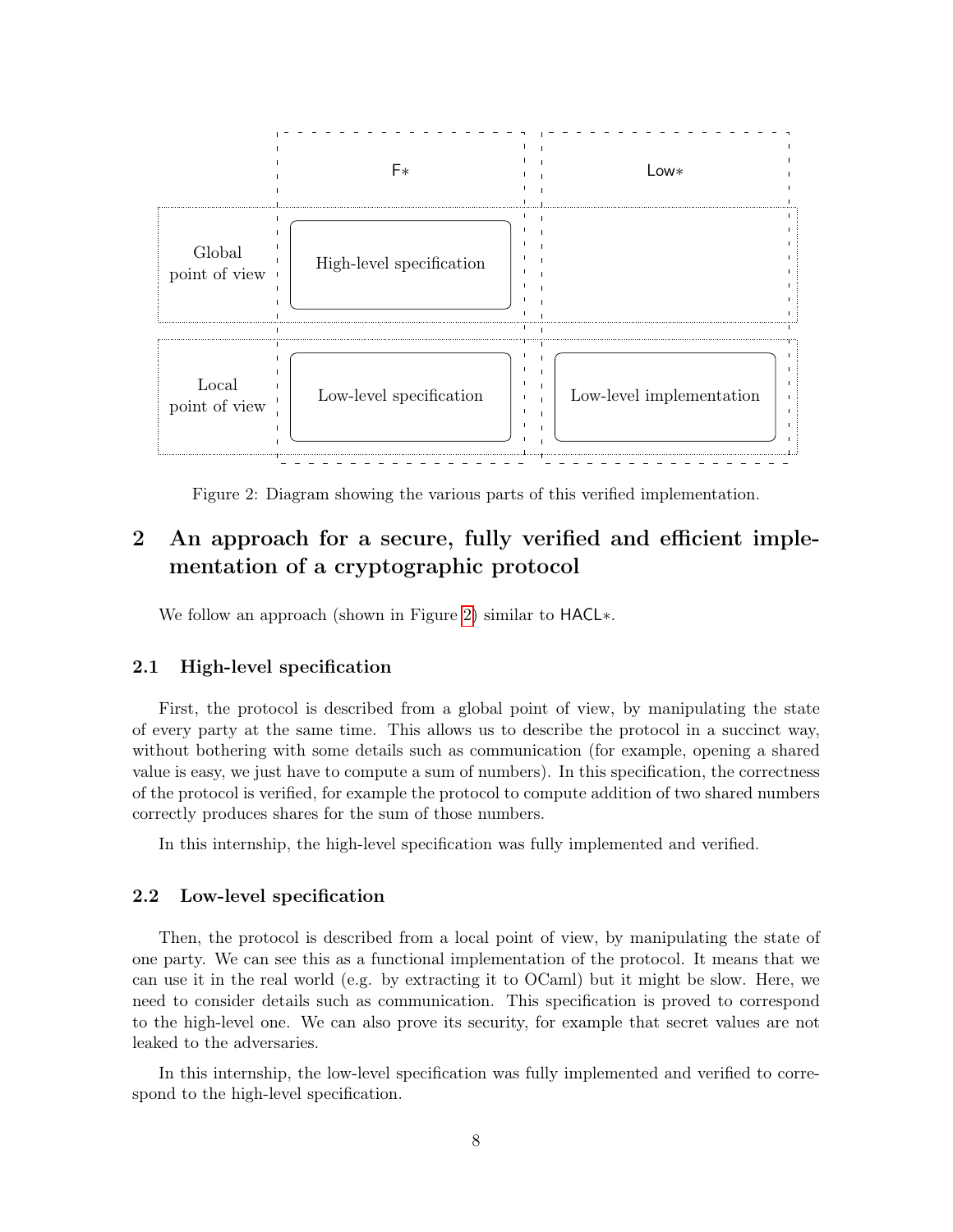

<span id="page-7-3"></span>Figure 2: Diagram showing the various parts of this verified implementation.

# <span id="page-7-0"></span>2 An approach for a secure, fully verified and efficient implementation of a cryptographic protocol

We follow an approach (shown in Figure [2\)](#page-7-3) similar to HACL∗.

## <span id="page-7-1"></span>2.1 High-level specification

First, the protocol is described from a global point of view, by manipulating the state of every party at the same time. This allows us to describe the protocol in a succinct way, without bothering with some details such as communication (for example, opening a shared value is easy, we just have to compute a sum of numbers). In this specification, the correctness of the protocol is verified, for example the protocol to compute addition of two shared numbers correctly produces shares for the sum of those numbers.

In this internship, the high-level specification was fully implemented and verified.

## <span id="page-7-2"></span>2.2 Low-level specification

Then, the protocol is described from a local point of view, by manipulating the state of one party. We can see this as a functional implementation of the protocol. It means that we can use it in the real world (e.g. by extracting it to OCaml) but it might be slow. Here, we need to consider details such as communication. This specification is proved to correspond to the high-level one. We can also prove its security, for example that secret values are not leaked to the adversaries.

In this internship, the low-level specification was fully implemented and verified to correspond to the high-level specification.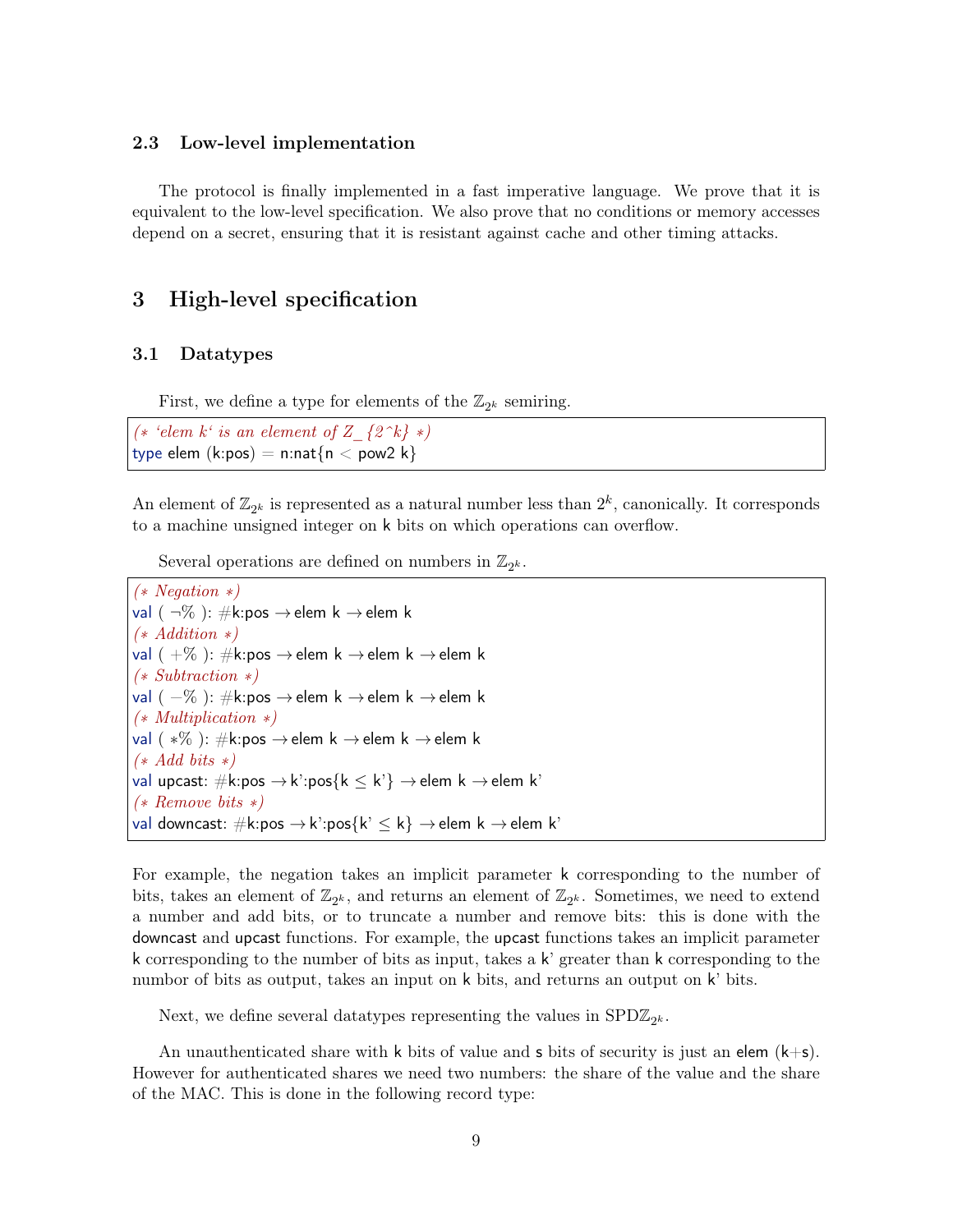#### <span id="page-8-0"></span>2.3 Low-level implementation

The protocol is finally implemented in a fast imperative language. We prove that it is equivalent to the low-level specification. We also prove that no conditions or memory accesses depend on a secret, ensuring that it is resistant against cache and other timing attacks.

# <span id="page-8-1"></span>3 High-level specification

#### <span id="page-8-2"></span>3.1 Datatypes

First, we define a type for elements of the  $\mathbb{Z}_{2^k}$  semiring.

(\* 'elem k' is an element of Z\_{2^k} \*) type elem  $(k:pos) = n:nat\{n < pow2 k\}$ 

An element of  $\mathbb{Z}_{2^k}$  is represented as a natural number less than  $2^k$ , canonically. It corresponds to a machine unsigned integer on k bits on which operations can overflow.

Several operations are defined on numbers in  $\mathbb{Z}_{2^k}$ .

```
(∗ Negation ∗)
val (\neg\%): #k:pos \rightarrowelem k \rightarrowelem k
(∗ Addition ∗)
val ( +\% ): \#k:pos \rightarrow elem k \rightarrow elem k \rightarrow elem k
(∗ Subtraction ∗)
val ( -\% ): \#k:pos \rightarrow elem k \rightarrow elem k \rightarrow elem k
(∗ Multiplication ∗)
val ( *% ): \#k:pos \rightarrow elem k \rightarrow elem k \rightarrow elem k
(* Add bits *)val upcast: \#k:pos \rightarrow k':pos{k \leq k'} \rightarrow elem k \rightarrow elem k'(∗ Remove bits ∗)
val downcast: \#k:pos \to k':pos{k' \leq k} \to elem k \to elem k'
```
For example, the negation takes an implicit parameter k corresponding to the number of bits, takes an element of  $\mathbb{Z}_{2^k}$ , and returns an element of  $\mathbb{Z}_{2^k}$ . Sometimes, we need to extend a number and add bits, or to truncate a number and remove bits: this is done with the downcast and upcast functions. For example, the upcast functions takes an implicit parameter k corresponding to the number of bits as input, takes a  $k'$  greater than k corresponding to the numbor of bits as output, takes an input on k bits, and returns an output on k' bits.

Next, we define several data<br>types representing the values in  $\text{SPD}\mathbb{Z}_{2^k}$ .

An unauthenticated share with k bits of value and s bits of security is just an elem  $(k+s)$ . However for authenticated shares we need two numbers: the share of the value and the share of the MAC. This is done in the following record type: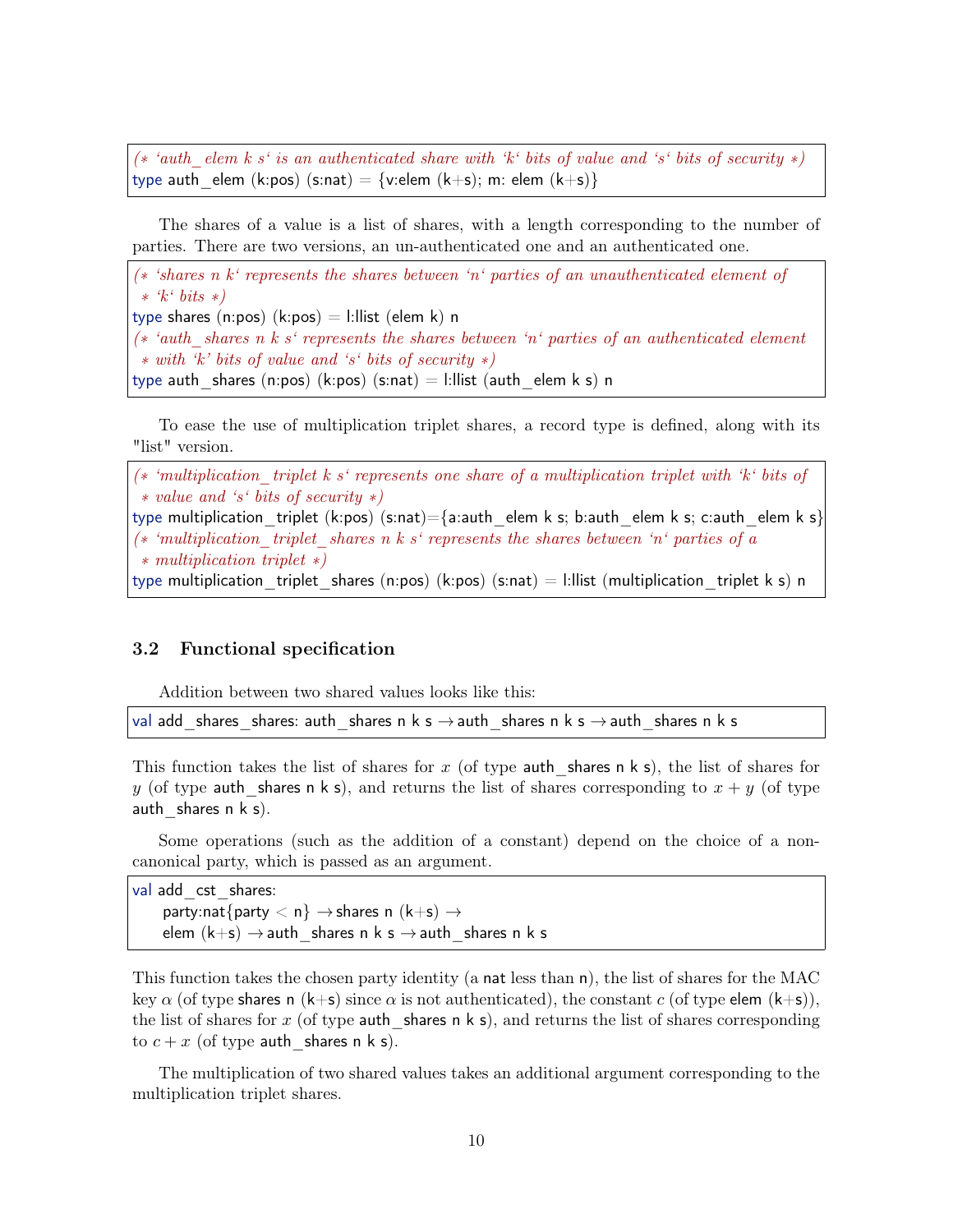(\* 'auth elem k s' is an authenticated share with 'k' bits of value and 's' bits of security \*) type auth elem (k:pos) (s:nat) = {v:elem (k+s); m: elem (k+s)}

The shares of a value is a list of shares, with a length corresponding to the number of parties. There are two versions, an un-authenticated one and an authenticated one.

(∗ 'shares n k' represents the shares between 'n' parties of an unauthenticated element of ∗ 'k' bits ∗) type shares (n:pos)  $(k:pos) = 1:$ llist (elem k) n (∗ 'auth\_shares n k s' represents the shares between 'n' parties of an authenticated element ∗ with 'k' bits of value and 's' bits of security ∗) type auth shares (n:pos) (k:pos) (s:nat)  $=$  l:llist (auth elem k s) n

To ease the use of multiplication triplet shares, a record type is defined, along with its "list" version.

 $(* 'multiplication 'triplet k s' represents one share of a multiplication triplet with 'k' bits of$ ∗ value and 's' bits of security ∗) type multiplication triplet (k:pos) (s:nat)={a:auth\_elem k s; b:auth\_elem k s; c:auth\_elem k s} (\* 'multiplication triplet shares n k s' represents the shares between 'n' parties of a ∗ multiplication triplet ∗) type multiplication triplet shares (n:pos) (k:pos) (s:nat) = l:llist (multiplication triplet k s) n

## <span id="page-9-0"></span>3.2 Functional specification

Addition between two shared values looks like this:

val add shares shares: auth shares n k s  $\rightarrow$  auth shares n k s  $\rightarrow$  auth shares n k s

This function takes the list of shares for x (of type auth shares n k s), the list of shares for y (of type auth shares n k s), and returns the list of shares corresponding to  $x + y$  (of type auth shares  $n \times s$ ).

Some operations (such as the addition of a constant) depend on the choice of a noncanonical party, which is passed as an argument.

val add cst shares: party:nat $\{$ party  $\langle n \rangle \rightarrow$ shares n  $(k+s) \rightarrow$ elem  $(k+s) \rightarrow$ auth shares n k s  $\rightarrow$ auth shares n k s

This function takes the chosen party identity (a nat less than n), the list of shares for the MAC key  $\alpha$  (of type shares n (k+s) since  $\alpha$  is not authenticated), the constant c (of type elem (k+s)), the list of shares for x (of type auth shares n k s), and returns the list of shares corresponding to  $c + x$  (of type auth shares n k s).

The multiplication of two shared values takes an additional argument corresponding to the multiplication triplet shares.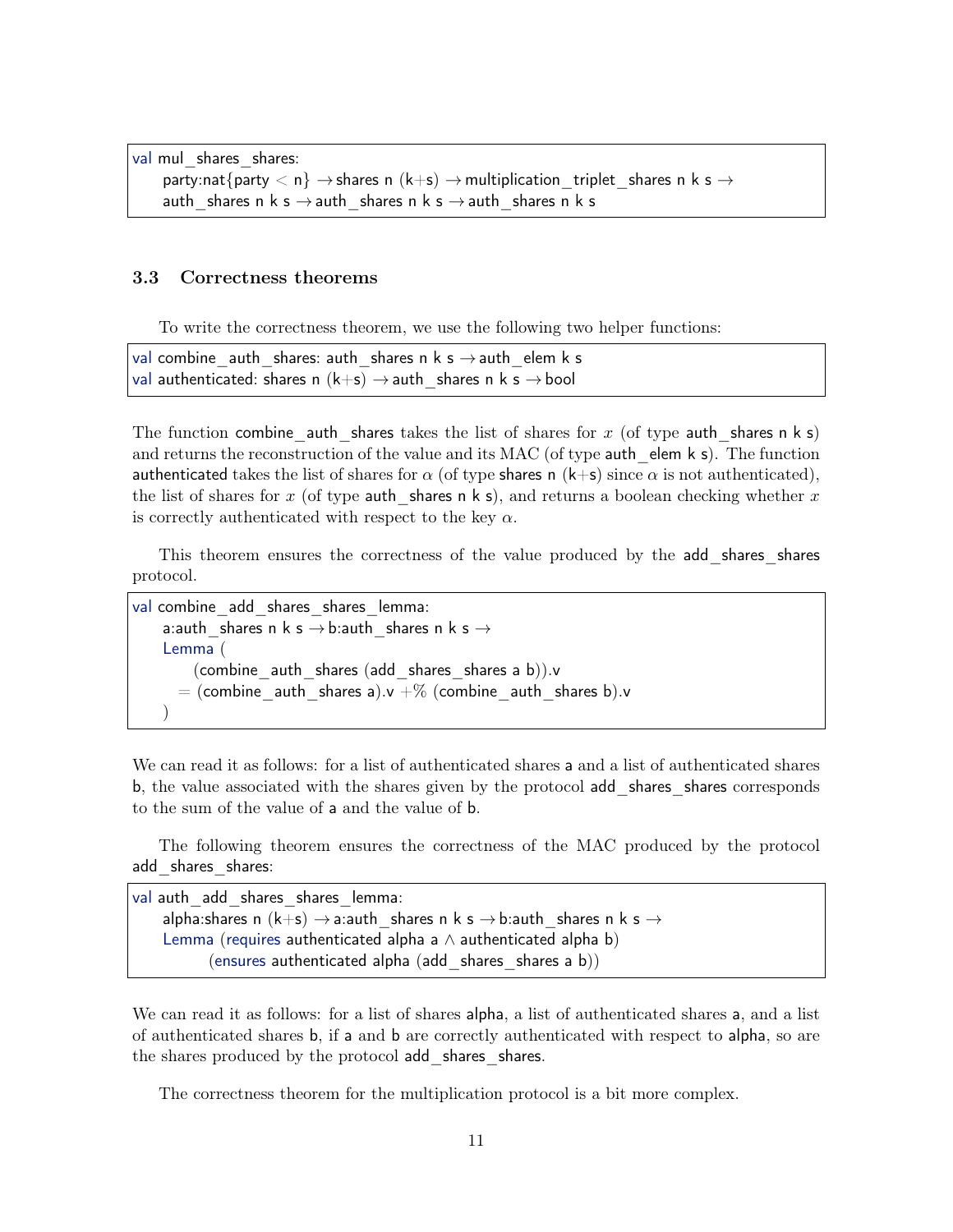```
val mul shares shares:
     party:nat{party < n} \rightarrow shares n (k+s) \rightarrow multiplication triplet shares n k s \rightarrowauth shares n k s \rightarrow auth shares n k s \rightarrow auth shares n k s
```
#### <span id="page-10-0"></span>3.3 Correctness theorems

To write the correctness theorem, we use the following two helper functions:

val combine auth shares: auth shares n k s  $\rightarrow$  auth elem k s val authenticated: shares n  $(k+s) \rightarrow$  auth shares n k s  $\rightarrow$  bool

The function combine auth shares takes the list of shares for x (of type auth shares n k s) and returns the reconstruction of the value and its MAC (of type auth elem  $k$  s). The function authenticated takes the list of shares for  $\alpha$  (of type shares n (k+s) since  $\alpha$  is not authenticated), the list of shares for x (of type auth shares n k s), and returns a boolean checking whether x is correctly authenticated with respect to the key  $\alpha$ .

This theorem ensures the correctness of the value produced by the add shares shares protocol.

```
val combine add shares shares lemma:
    a:auth_shares n k s \rightarrow b:auth shares n k s \rightarrowLemma (
        (combine auth shares (add shares shares a b)).v
      = (combine_auth_shares a).v +% (combine_auth_shares b).v
    \left( \right)
```
We can read it as follows: for a list of authenticated shares a and a list of authenticated shares b, the value associated with the shares given by the protocol add shares shares corresponds to the sum of the value of a and the value of b.

The following theorem ensures the correctness of the MAC produced by the protocol add shares shares:

```
val auth add shares shares lemma:
    alpha:shares n (k+s) \rightarrow a:auth shares n k s \rightarrow b:auth shares n k s \rightarrowLemma (requires authenticated alpha a \land authenticated alpha b)
           (ensures authenticated alpha (add shares shares a b))
```
We can read it as follows: for a list of shares alpha, a list of authenticated shares a, and a list of authenticated shares b, if a and b are correctly authenticated with respect to alpha, so are the shares produced by the protocol add shares shares.

The correctness theorem for the multiplication protocol is a bit more complex.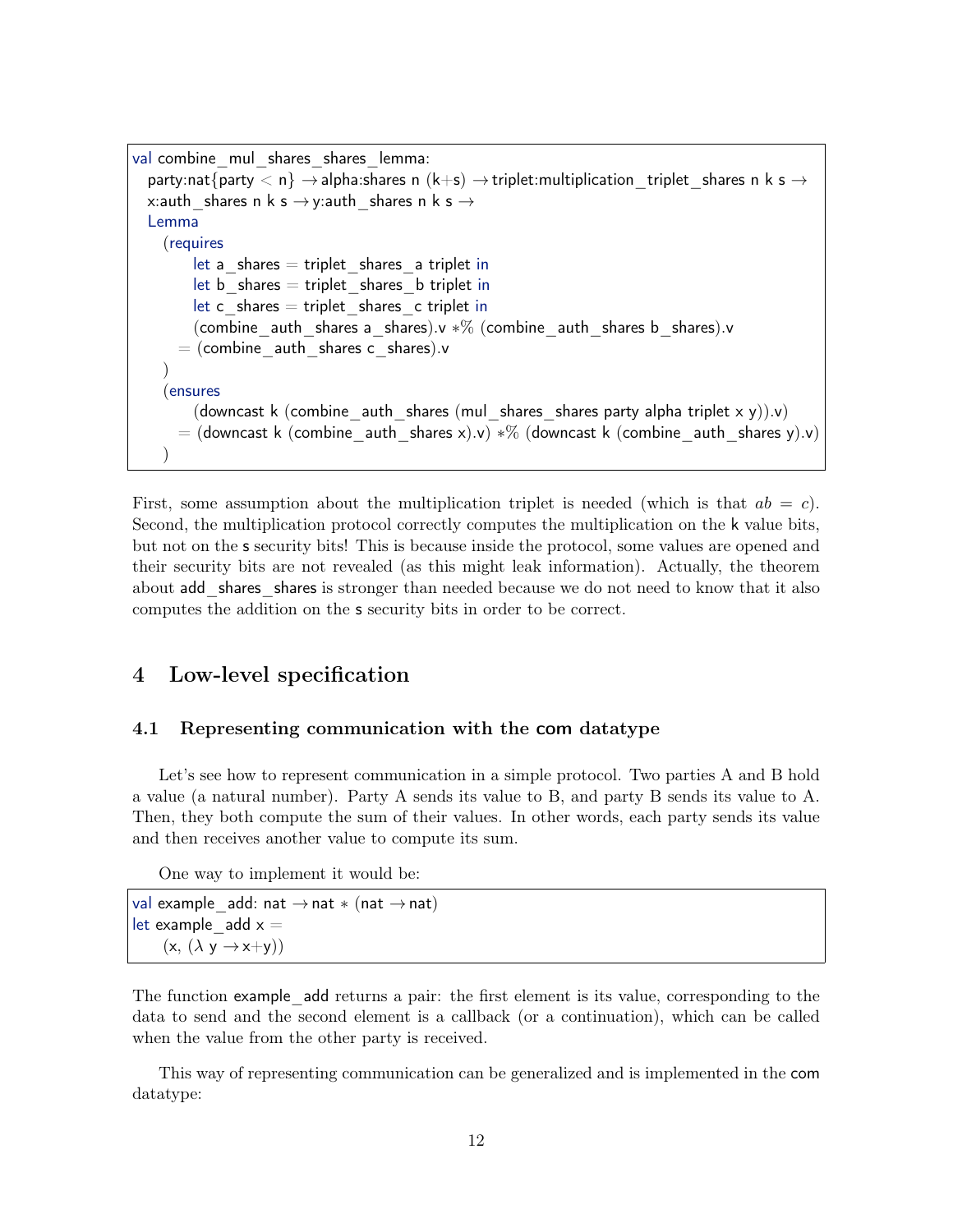```
val combine_mul_shares_shares_lemma:
  party:nat{party \langle n \rangle \rightarrow alpha:shares n (k+s) \rightarrow triplet: multiplication _triplet _shares n k s \rightarrowx:auth shares n k s \rightarrowy:auth shares n k s \rightarrowLemma
    (requires
        let a shares = triplet shares a triplet in
        let b shares = triplet shares b triplet in
        let c_shares = triplet shares c triplet in
         (combine auth shares a shares).v *% (combine auth shares b shares).v
      = (combine auth shares c shares).v
    )
    (ensures
        (downcast k (combine auth shares (mul shares shares party alpha triplet x y)).v)
      = (downcast k (combine_auth_shares x).v) *% (downcast k (combine_auth_shares y).v)
    )
```
First, some assumption about the multiplication triplet is needed (which is that  $ab = c$ ). Second, the multiplication protocol correctly computes the multiplication on the k value bits, but not on the s security bits! This is because inside the protocol, some values are opened and their security bits are not revealed (as this might leak information). Actually, the theorem about add shares shares is stronger than needed because we do not need to know that it also computes the addition on the s security bits in order to be correct.

# <span id="page-11-0"></span>4 Low-level specification

### <span id="page-11-1"></span>4.1 Representing communication with the com datatype

Let's see how to represent communication in a simple protocol. Two parties A and B hold a value (a natural number). Party A sends its value to B, and party B sends its value to A. Then, they both compute the sum of their values. In other words, each party sends its value and then receives another value to compute its sum.

One way to implement it would be:

val example add: nat  $\rightarrow$  nat  $*$  (nat  $\rightarrow$  nat) let example  $add x =$  $(x, (\lambda y \rightarrow x+y))$ 

The function example add returns a pair: the first element is its value, corresponding to the data to send and the second element is a callback (or a continuation), which can be called when the value from the other party is received.

This way of representing communication can be generalized and is implemented in the com datatype: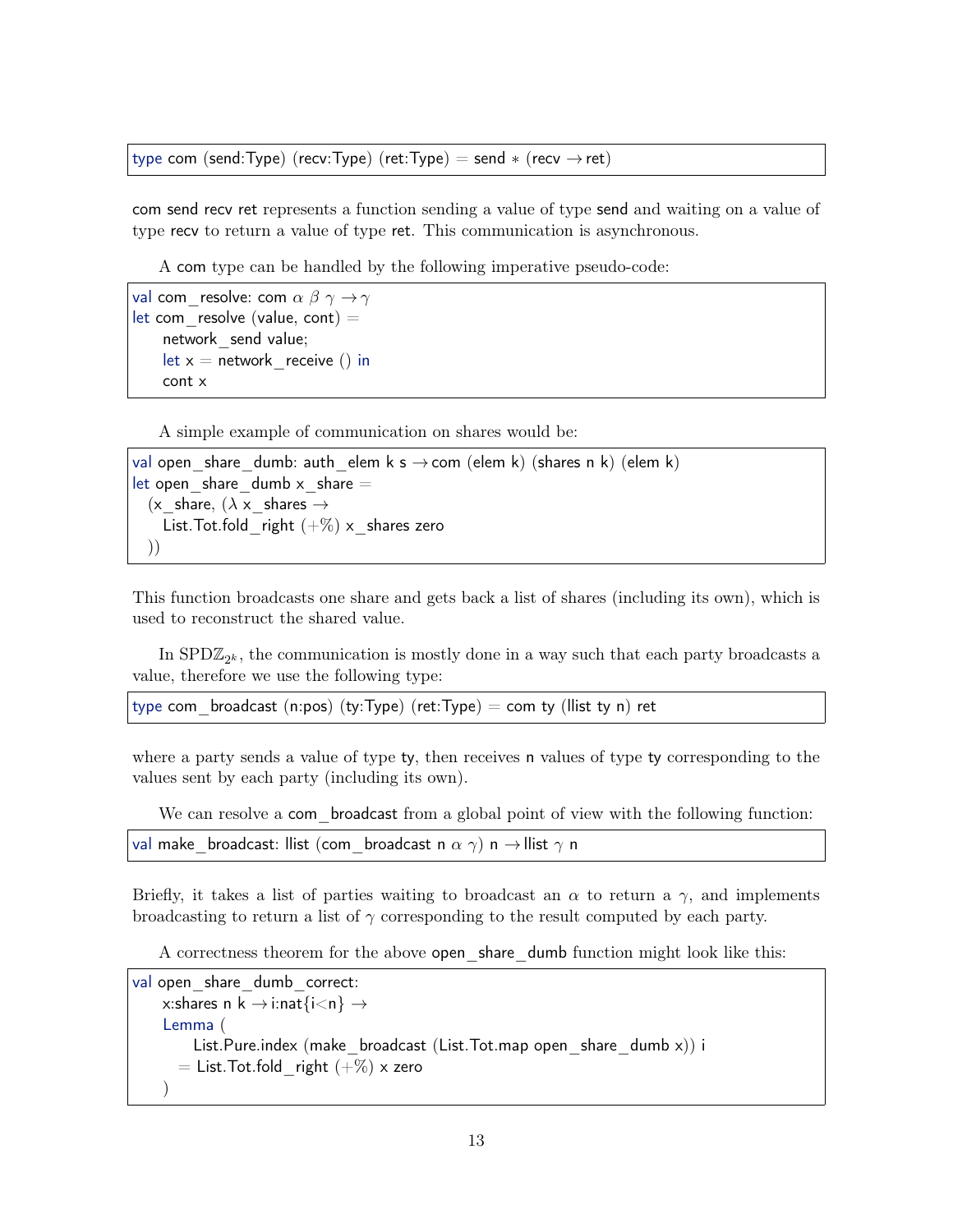type com (send:Type) (recv:Type) (ret:Type) = send  $*$  (recv  $\rightarrow$  ret)

com send recv ret represents a function sending a value of type send and waiting on a value of type recv to return a value of type ret. This communication is asynchronous.

A com type can be handled by the following imperative pseudo-code:

```
val com resolve: com \alpha \beta \gamma \rightarrow \gammalet com resolve (value, cont) =network_send value;
     let x = network receive () in
     cont x
```
A simple example of communication on shares would be:

```
val open share dumb: auth elem k s \rightarrow com (elem k) (shares n k) (elem k)
let open share dumb x share =(x_share, (\lambda x_shares \rightarrowList. Tot.fold right (+\%) x shares zero
  ))
```
This function broadcasts one share and gets back a list of shares (including its own), which is used to reconstruct the shared value.

In  $\text{SPD}\mathbb{Z}_{2^k}$ , the communication is mostly done in a way such that each party broadcasts a value, therefore we use the following type:

type com broadcast (n:pos) (ty:Type) (ret:Type) = com ty (llist ty n) ret

where a party sends a value of type ty, then receives n values of type ty corresponding to the values sent by each party (including its own).

We can resolve a com broadcast from a global point of view with the following function:

val make broadcast: llist (com broadcast n  $\alpha \gamma$ ) n  $\rightarrow$ llist  $\gamma$  n

Briefly, it takes a list of parties waiting to broadcast an  $\alpha$  to return a  $\gamma$ , and implements broadcasting to return a list of  $\gamma$  corresponding to the result computed by each party.

A correctness theorem for the above open\_share\_dumb function might look like this:

```
val open share dumb correct:
    x:shares n k \rightarrow i:nat\{i\leq n\} \rightarrowLemma (
         List.Pure.index (make broadcast (List.Tot.map open share dumb x)) i
       = List. Tot. fold right (+\%) x zero
    \left( \right)
```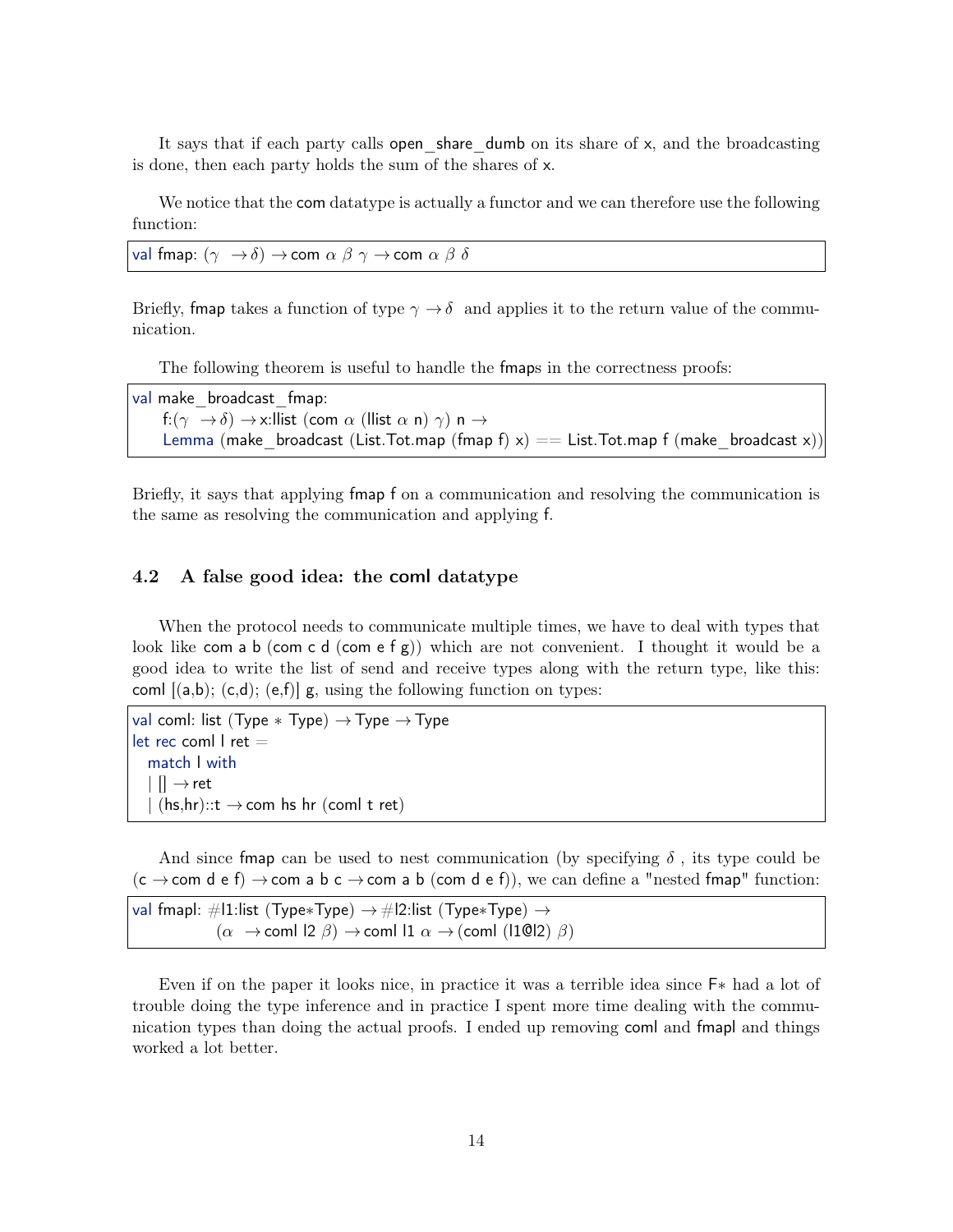It says that if each party calls open share dumb on its share of  $x$ , and the broadcasting is done, then each party holds the sum of the shares of x.

We notice that the com datatype is actually a functor and we can therefore use the following function:

val fmap:  $(\gamma \rightarrow \delta) \rightarrow$ com  $\alpha \beta \gamma \rightarrow$ com  $\alpha \beta \delta$ 

Briefly, fmap takes a function of type  $\gamma \to \delta$  and applies it to the return value of the communication.

The following theorem is useful to handle the fmaps in the correctness proofs:

val make broadcast fmap: f:( $\gamma \rightarrow \delta$ )  $\rightarrow$  x:llist (com  $\alpha$  (llist  $\alpha$  n)  $\gamma$ ) n  $\rightarrow$ Lemma (make broadcast (List.Tot.map (fmap f)  $x$ ) == List.Tot.map f (make broadcast x))

Briefly, it says that applying fmap f on a communication and resolving the communication is the same as resolving the communication and applying f.

## <span id="page-13-0"></span>4.2 A false good idea: the coml datatype

When the protocol needs to communicate multiple times, we have to deal with types that look like com a b (com c d (com e f g)) which are not convenient. I thought it would be a good idea to write the list of send and receive types along with the return type, like this: coml  $|(a,b); (c,d); (e,f)|$  g, using the following function on types:

```
val coml: list (Type * Type) \rightarrow Type \rightarrow Type
let rec coml l ret =match l with
   \vert \vert \vert \rightarrow ret
   \mid (hs,hr)::t \rightarrow com hs hr (coml t ret)
```
And since fmap can be used to nest communication (by specifying  $\delta$ , its type could be  $(c \rightarrow com \ d \ e \ f) \rightarrow com \ a \ b \ c \rightarrow com \ a \ b \ (com \ d \ e \ f)),$  we can define a "nested fmap" function:

```
val fmapl: #l1:list (Type*Type) \rightarrow #l2:list (Type*Type) \rightarrow(\alpha \rightarrowcoml l2 \beta) \rightarrowcoml l1 \alpha \rightarrow(coml (l10l2) \beta)
```
Even if on the paper it looks nice, in practice it was a terrible idea since F∗ had a lot of trouble doing the type inference and in practice I spent more time dealing with the communication types than doing the actual proofs. I ended up removing coml and fmapl and things worked a lot better.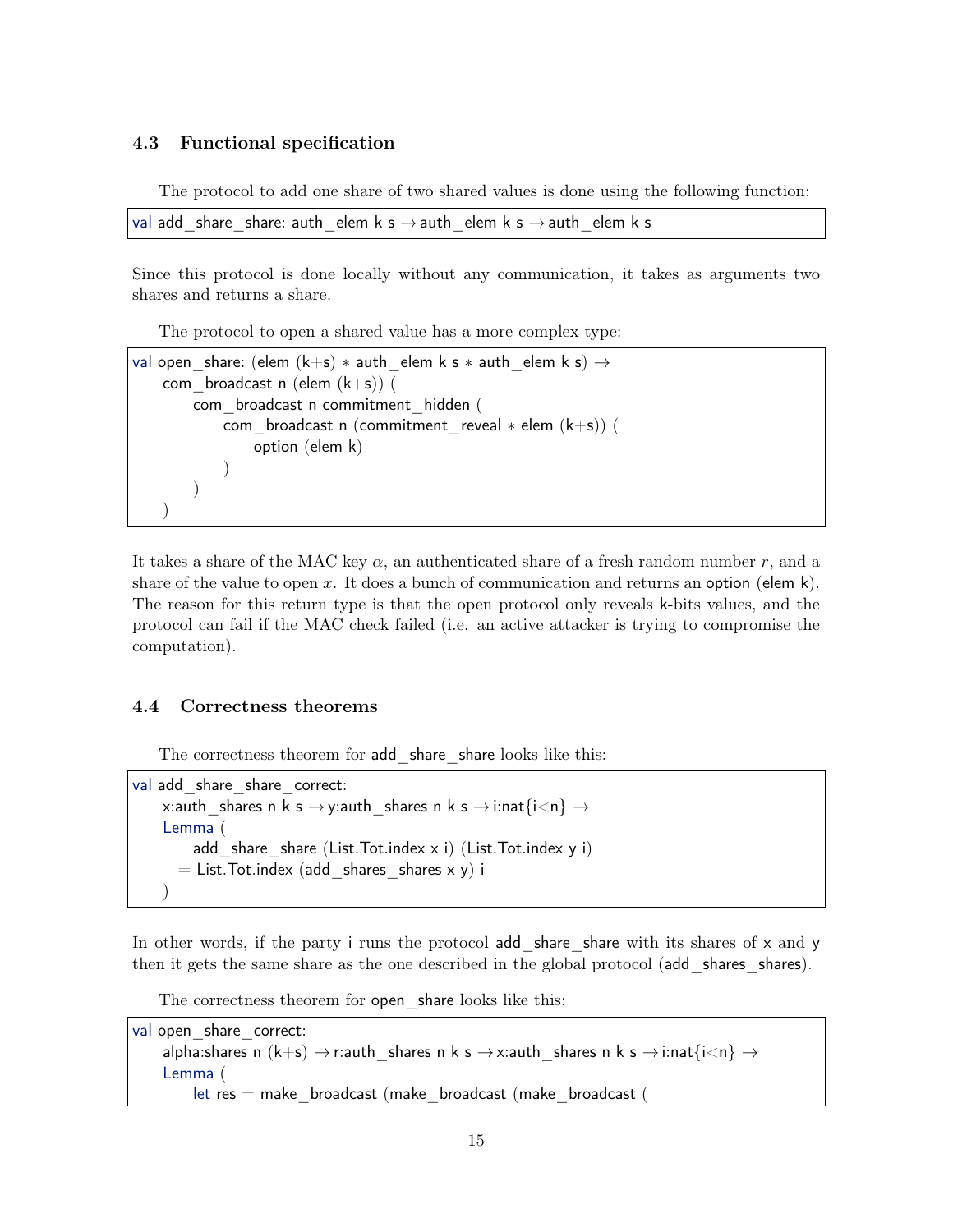#### <span id="page-14-0"></span>4.3 Functional specification

The protocol to add one share of two shared values is done using the following function:

```
val add share share: auth elem k s \rightarrow auth elem k s \rightarrow auth elem k s
```
Since this protocol is done locally without any communication, it takes as arguments two shares and returns a share.

The protocol to open a shared value has a more complex type:

```
val open share: (elem (k+s) * auth elem k s * auth elem k s) \rightarrowcom broadcast n (elem (k+s)) (
        com_broadcast n commitment_hidden (
            com broadcast n (commitment reveal * elem (k+s)) (
                option (elem k)
            )
        )
    )
```
It takes a share of the MAC key  $\alpha$ , an authenticated share of a fresh random number r, and a share of the value to open x. It does a bunch of communication and returns an option (elem k). The reason for this return type is that the open protocol only reveals k-bits values, and the protocol can fail if the MAC check failed (i.e. an active attacker is trying to compromise the computation).

#### <span id="page-14-1"></span>4.4 Correctness theorems

The correctness theorem for add share share looks like this:

```
val add share share correct:
    x:auth shares n k s \rightarrowy:auth shares n k s \rightarrowi:nat\{i\leq n\} \rightarrowLemma (
         add share share (List.Tot.index x i) (List.Tot.index y i)
       = List. Tot. index (add shares shares x y) i
    )
```
In other words, if the party i runs the protocol add share share with its shares of  $x$  and  $y$ then it gets the same share as the one described in the global protocol (add shares shares).

The correctness theorem for open share looks like this:

val open share correct: alpha:shares n  $(k+s) \rightarrow r$ :auth shares n k s  $\rightarrow$ x:auth shares n k s  $\rightarrow$ i:nat{i<n}  $\rightarrow$ Lemma ( let res = make\_broadcast (make\_broadcast (make\_broadcast (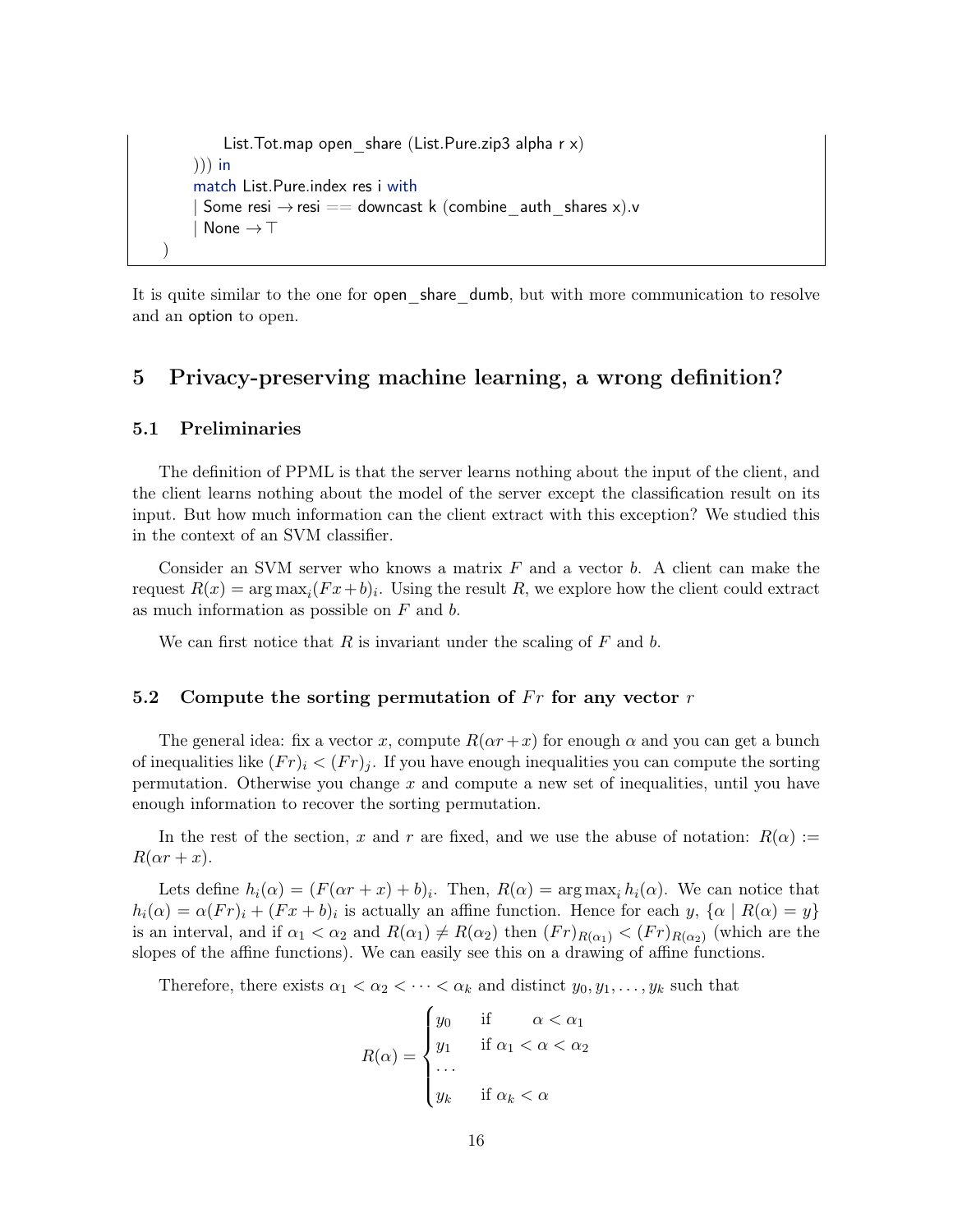```
List. Tot. map open share (List. Pure. zip3 alpha r \times)
    ))) in
    match List.Pure.index res i with
      Some resi \rightarrow resi == downcast k (combine_auth_shares x).v
      None \rightarrow \top)
```
It is quite similar to the one for **open** share dumb, but with more communication to resolve and an option to open.

# <span id="page-15-0"></span>5 Privacy-preserving machine learning, a wrong definition?

#### <span id="page-15-1"></span>5.1 Preliminaries

The definition of PPML is that the server learns nothing about the input of the client, and the client learns nothing about the model of the server except the classification result on its input. But how much information can the client extract with this exception? We studied this in the context of an SVM classifier.

Consider an SVM server who knows a matrix  $F$  and a vector  $b$ . A client can make the request  $R(x) = \arg \max_i (Fx + b)_i$ . Using the result R, we explore how the client could extract as much information as possible on  $F$  and  $b$ .

We can first notice that  $R$  is invariant under the scaling of  $F$  and  $b$ .

## <span id="page-15-2"></span>5.2 Compute the sorting permutation of  $Fr$  for any vector  $r$

The general idea: fix a vector x, compute  $R(\alpha r + x)$  for enough  $\alpha$  and you can get a bunch of inequalities like  $(Fr)_i < (Fr)_i$ . If you have enough inequalities you can compute the sorting permutation. Otherwise you change  $x$  and compute a new set of inequalities, until you have enough information to recover the sorting permutation.

In the rest of the section, x and r are fixed, and we use the abuse of notation:  $R(\alpha) :=$  $R(\alpha r + x)$ .

Lets define  $h_i(\alpha) = (F(\alpha r + x) + b)_i$ . Then,  $R(\alpha) = \arg \max_i h_i(\alpha)$ . We can notice that  $h_i(\alpha) = \alpha(Fr)_i + (Fx + b)_i$  is actually an affine function. Hence for each y,  $\{\alpha \mid R(\alpha) = y\}$ is an interval, and if  $\alpha_1 < \alpha_2$  and  $R(\alpha_1) \neq R(\alpha_2)$  then  $(Fr)_{R(\alpha_1)} < (Fr)_{R(\alpha_2)}$  (which are the slopes of the affine functions). We can easily see this on a drawing of affine functions.

Therefore, there exists  $\alpha_1 < \alpha_2 < \cdots < \alpha_k$  and distinct  $y_0, y_1, \ldots, y_k$  such that

$$
R(\alpha) = \begin{cases} y_0 & \text{if } \alpha < \alpha_1 \\ y_1 & \text{if } \alpha_1 < \alpha < \alpha_2 \\ \dots & \dots & \dots \\ y_k & \text{if } \alpha_k < \alpha \end{cases}
$$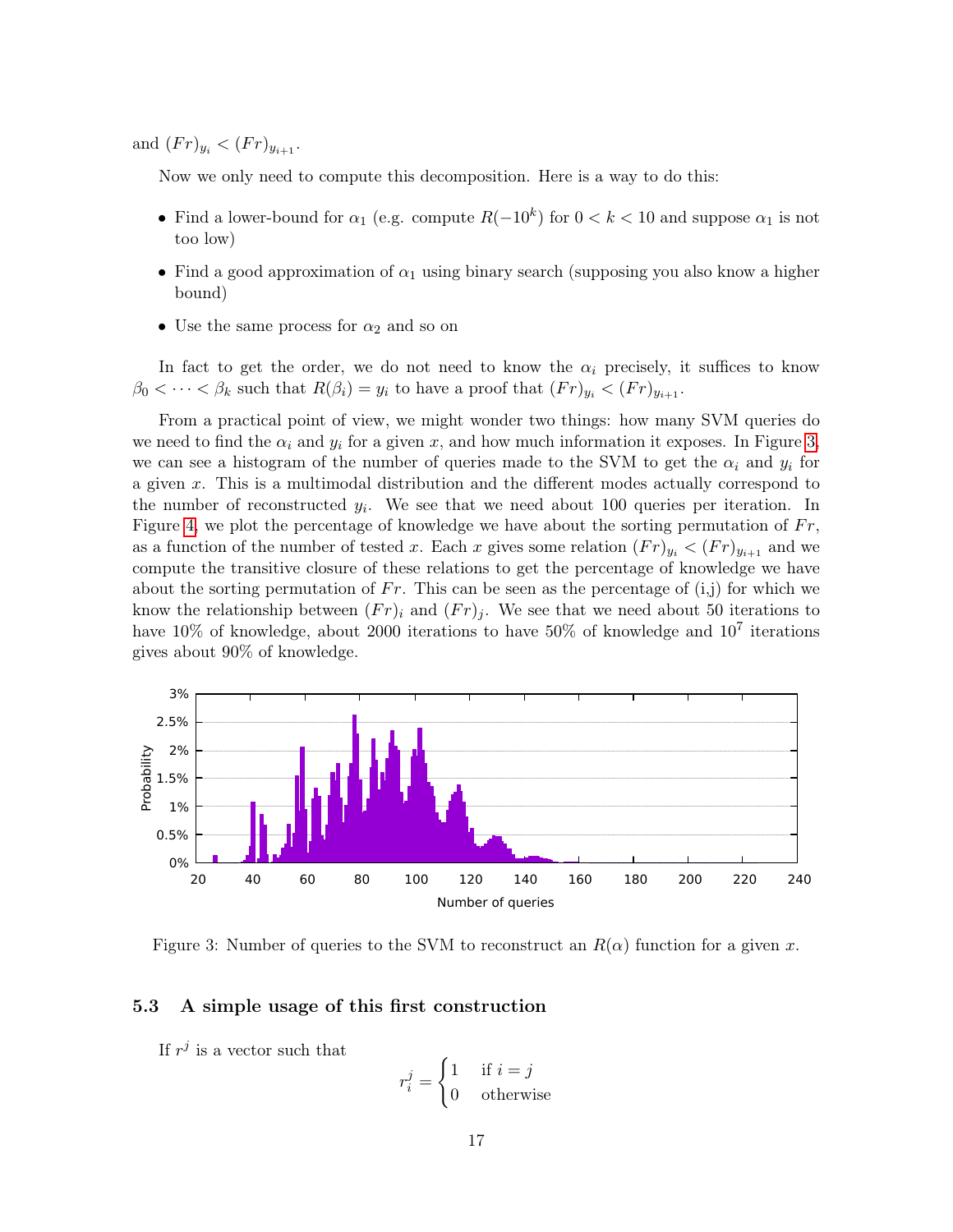and  $(Fr)_{y_i} < (Fr)_{y_{i+1}}$ .

Now we only need to compute this decomposition. Here is a way to do this:

- Find a lower-bound for  $\alpha_1$  (e.g. compute  $R(-10^k)$  for  $0 < k < 10$  and suppose  $\alpha_1$  is not too low)
- Find a good approximation of  $\alpha_1$  using binary search (supposing you also know a higher bound)
- Use the same process for  $\alpha_2$  and so on

In fact to get the order, we do not need to know the  $\alpha_i$  precisely, it suffices to know  $\beta_0 < \cdots < \beta_k$  such that  $R(\beta_i) = y_i$  to have a proof that  $(Fr)_{y_i} < (Fr)_{y_{i+1}}$ .

From a practical point of view, we might wonder two things: how many SVM queries do we need to find the  $\alpha_i$  and  $y_i$  for a given x, and how much information it exposes. In Figure [3,](#page-16-1) we can see a histogram of the number of queries made to the SVM to get the  $\alpha_i$  and  $y_i$  for a given x. This is a multimodal distribution and the different modes actually correspond to the number of reconstructed  $y_i$ . We see that we need about 100 queries per iteration. In Figure [4,](#page-17-1) we plot the percentage of knowledge we have about the sorting permutation of  $Fr$ , as a function of the number of tested x. Each x gives some relation  $(Fr)_{y_i} < (Fr)_{y_{i+1}}$  and we compute the transitive closure of these relations to get the percentage of knowledge we have about the sorting permutation of Fr. This can be seen as the percentage of  $(i,j)$  for which we know the relationship between  $(Fr)_i$  and  $(Fr)_i$ . We see that we need about 50 iterations to have 10% of knowledge, about 2000 iterations to have 50% of knowledge and  $10^7$  iterations gives about 90% of knowledge.



<span id="page-16-1"></span>Figure 3: Number of queries to the SVM to reconstruct an  $R(\alpha)$  function for a given x.

#### <span id="page-16-0"></span>5.3 A simple usage of this first construction

If  $r^j$  is a vector such that

$$
r_i^j = \begin{cases} 1 & \text{if } i = j \\ 0 & \text{otherwise} \end{cases}
$$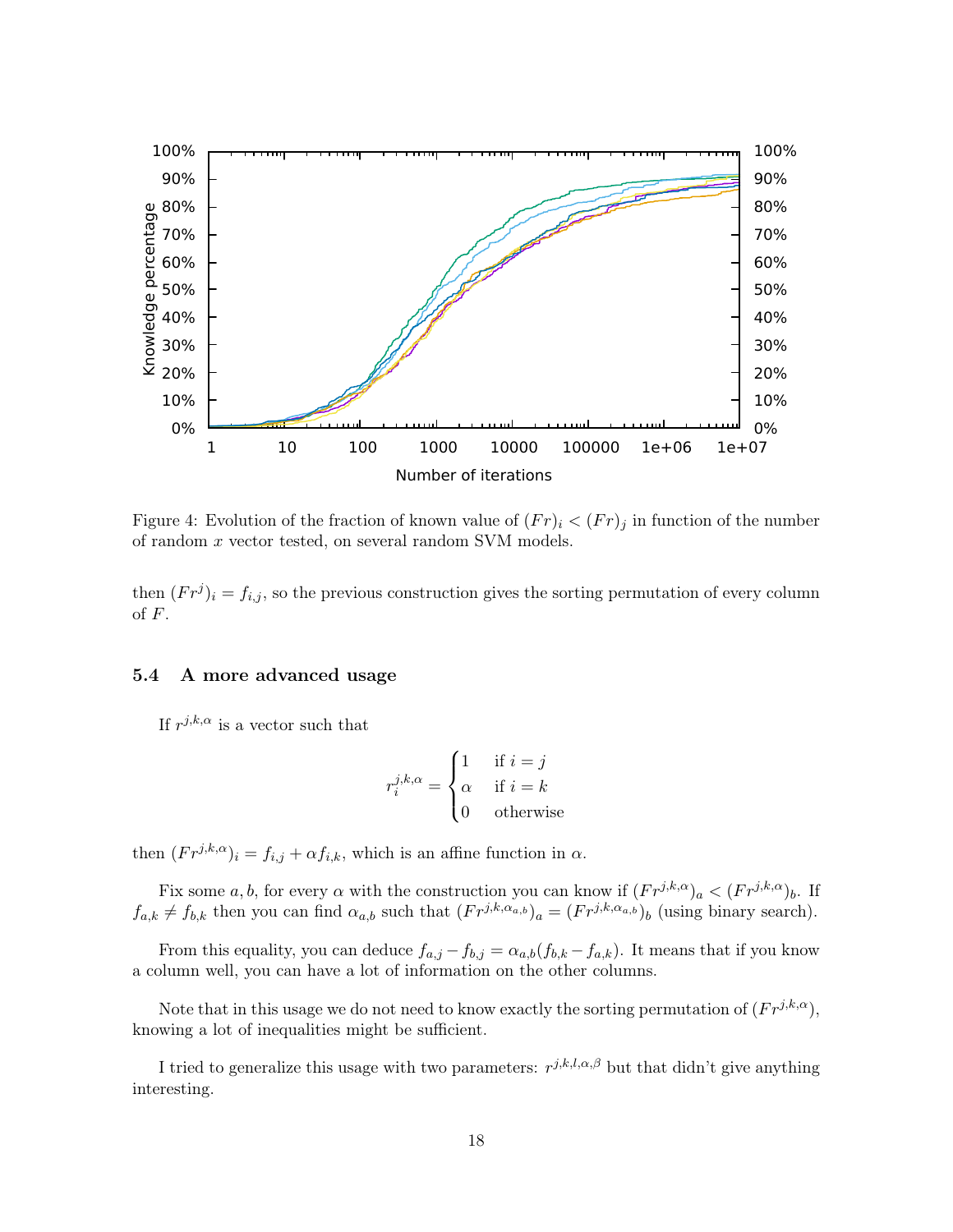

<span id="page-17-1"></span>Figure 4: Evolution of the fraction of known value of  $(Fr)_i < (Fr)_j$  in function of the number of random x vector tested, on several random SVM models.

then  $(Fr^j)_i = f_{i,j}$ , so the previous construction gives the sorting permutation of every column of F.

## <span id="page-17-0"></span>5.4 A more advanced usage

If  $r^{j,k,\alpha}$  is a vector such that

$$
r_i^{j,k,\alpha} = \begin{cases} 1 & \text{if } i = j \\ \alpha & \text{if } i = k \\ 0 & \text{otherwise} \end{cases}
$$

then  $(F r^{j,k,\alpha})_i = f_{i,j} + \alpha f_{i,k}$ , which is an affine function in  $\alpha$ .

Fix some a, b, for every  $\alpha$  with the construction you can know if  $(Fr^{j,k,\alpha})_a < (Fr^{j,k,\alpha})_b$ . If  $f_{a,k} \neq f_{b,k}$  then you can find  $\alpha_{a,b}$  such that  $(Fr^{j,k,\alpha_{a,b}})_a = (Fr^{j,k,\alpha_{a,b}})_b$  (using binary search).

From this equality, you can deduce  $f_{a,j} - f_{b,j} = \alpha_{a,b}(f_{b,k} - f_{a,k})$ . It means that if you know a column well, you can have a lot of information on the other columns.

Note that in this usage we do not need to know exactly the sorting permutation of  $(Fr^{j,k,\alpha})$ , knowing a lot of inequalities might be sufficient.

I tried to generalize this usage with two parameters:  $r^{j,k,l,\alpha,\beta}$  but that didn't give anything interesting.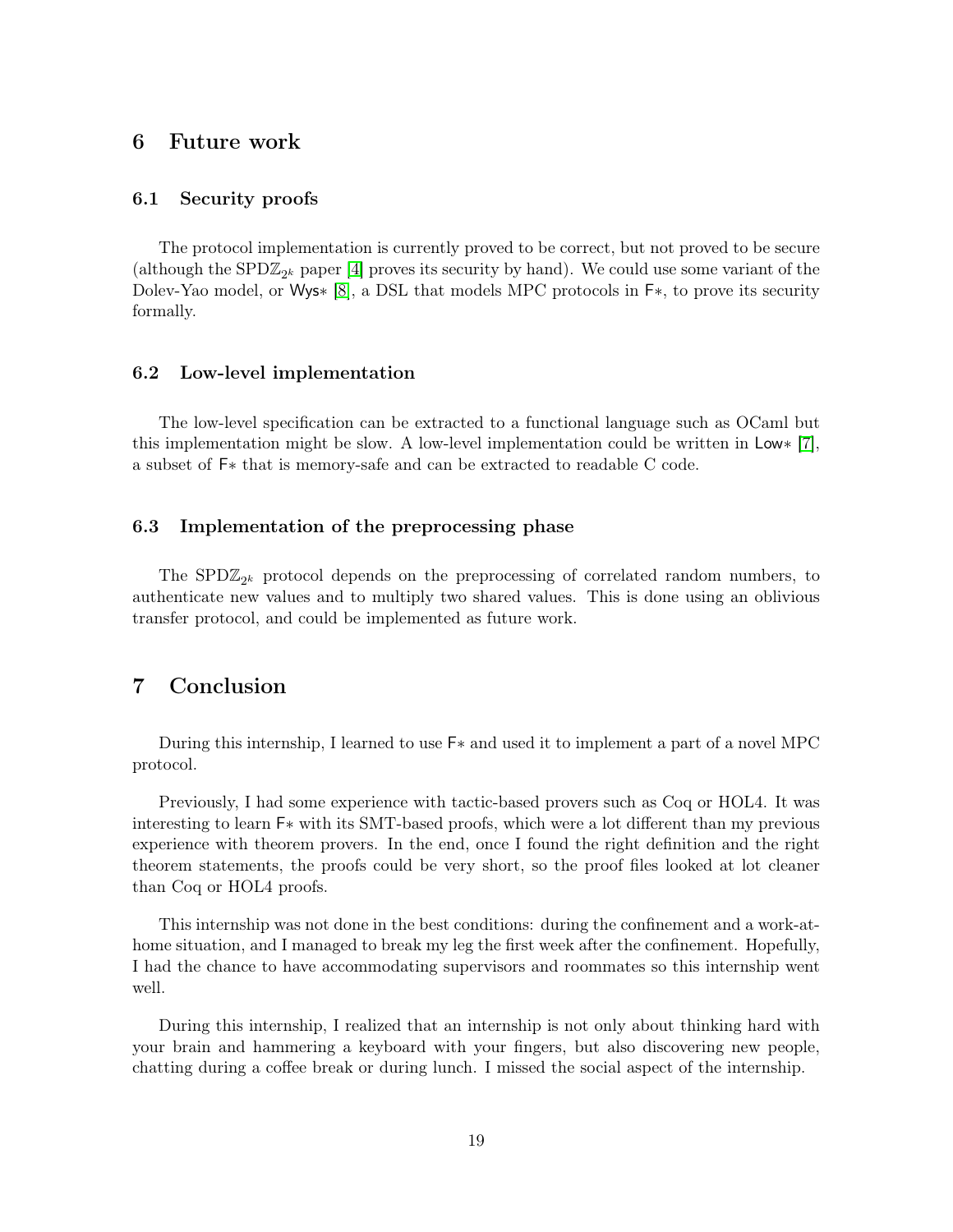## <span id="page-18-0"></span>6 Future work

### <span id="page-18-1"></span>6.1 Security proofs

The protocol implementation is currently proved to be correct, but not proved to be secure (although the  $SPD\mathbb{Z}_{2^k}$  paper [\[4\]](#page-19-0) proves its security by hand). We could use some variant of the Dolev-Yao model, or Wys∗ [\[8\]](#page-19-9), a DSL that models MPC protocols in F∗, to prove its security formally.

#### <span id="page-18-2"></span>6.2 Low-level implementation

The low-level specification can be extracted to a functional language such as OCaml but this implementation might be slow. A low-level implementation could be written in Low∗ [\[7\]](#page-19-8), a subset of F∗ that is memory-safe and can be extracted to readable C code.

## <span id="page-18-3"></span>6.3 Implementation of the preprocessing phase

The SPD $\mathbb{Z}_{2^k}$  protocol depends on the preprocessing of correlated random numbers, to authenticate new values and to multiply two shared values. This is done using an oblivious transfer protocol, and could be implemented as future work.

# <span id="page-18-4"></span>7 Conclusion

During this internship, I learned to use F∗ and used it to implement a part of a novel MPC protocol.

Previously, I had some experience with tactic-based provers such as Coq or HOL4. It was interesting to learn F∗ with its SMT-based proofs, which were a lot different than my previous experience with theorem provers. In the end, once I found the right definition and the right theorem statements, the proofs could be very short, so the proof files looked at lot cleaner than Coq or HOL4 proofs.

This internship was not done in the best conditions: during the confinement and a work-athome situation, and I managed to break my leg the first week after the confinement. Hopefully, I had the chance to have accommodating supervisors and roommates so this internship went well.

During this internship, I realized that an internship is not only about thinking hard with your brain and hammering a keyboard with your fingers, but also discovering new people, chatting during a coffee break or during lunch. I missed the social aspect of the internship.